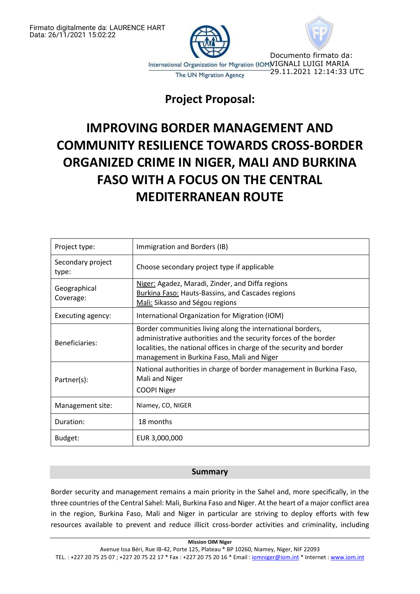



Documento firmato da: International Organization for Migration (IOM) IGNALI LUIGI MARIA 29.11.2021 12:14:33 UTC

The UN Migration Agency

# **Project Proposal:**

# **IMPROVING BORDER MANAGEMENT AND COMMUNITY RESILIENCE TOWARDS CROSS-BORDER ORGANIZED CRIME IN NIGER, MALI AND BURKINA FASO WITH A FOCUS ON THE CENTRAL MEDITERRANEAN ROUTE**

| Project type:              | Immigration and Borders (IB)                                                                                                                                                                                                                          |
|----------------------------|-------------------------------------------------------------------------------------------------------------------------------------------------------------------------------------------------------------------------------------------------------|
| Secondary project<br>type: | Choose secondary project type if applicable                                                                                                                                                                                                           |
| Geographical<br>Coverage:  | Niger: Agadez, Maradi, Zinder, and Diffa regions<br>Burkina Faso: Hauts-Bassins, and Cascades regions<br>Mali: Sikasso and Ségou regions                                                                                                              |
| Executing agency:          | International Organization for Migration (IOM)                                                                                                                                                                                                        |
| Beneficiaries:             | Border communities living along the international borders,<br>administrative authorities and the security forces of the border<br>localities, the national offices in charge of the security and border<br>management in Burkina Faso, Mali and Niger |
| Partner(s):                | National authorities in charge of border management in Burkina Faso,<br>Mali and Niger<br><b>COOPI Niger</b>                                                                                                                                          |
| Management site:           | Niamey, CO, NIGER                                                                                                                                                                                                                                     |
| Duration:                  | 18 months                                                                                                                                                                                                                                             |
| Budget:                    | EUR 3,000,000                                                                                                                                                                                                                                         |

#### **Summary**

Border security and management remains a main priority in the Sahel and, more specifically, in the three countries of the Central Sahel: Mali, Burkina Faso and Niger. At the heart of a major conflict area in the region, Burkina Faso, Mali and Niger in particular are striving to deploy efforts with few resources available to prevent and reduce illicit cross-border activities and criminality, including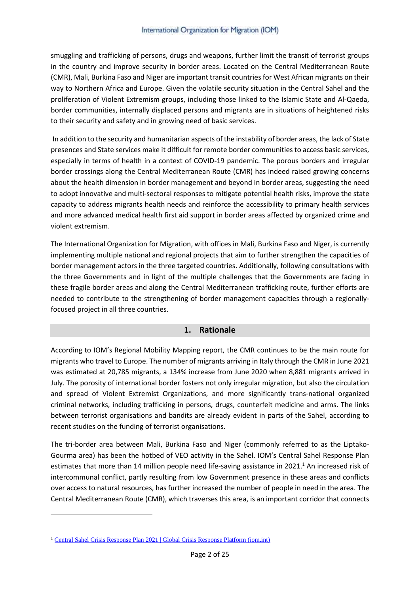smuggling and trafficking of persons, drugs and weapons, further limit the transit of terrorist groups in the country and improve security in border areas. Located on the Central Mediterranean Route (CMR), Mali, Burkina Faso and Niger are important transit countries for West African migrants on their way to Northern Africa and Europe. Given the volatile security situation in the Central Sahel and the proliferation of Violent Extremism groups, including those linked to the Islamic State and Al-Qaeda, border communities, internally displaced persons and migrants are in situations of heightened risks to their security and safety and in growing need of basic services.

In addition to the security and humanitarian aspects of the instability of border areas, the lack of State presences and State services make it difficult for remote border communities to access basic services, especially in terms of health in a context of COVID-19 pandemic. The porous borders and irregular border crossings along the Central Mediterranean Route (CMR) has indeed raised growing concerns about the health dimension in border management and beyond in border areas, suggesting the need to adopt innovative and multi-sectoral responses to mitigate potential health risks, improve the state capacity to address migrants health needs and reinforce the accessibility to primary health services and more advanced medical health first aid support in border areas affected by organized crime and violent extremism.

The International Organization for Migration, with offices in Mali, Burkina Faso and Niger, is currently implementing multiple national and regional projects that aim to further strengthen the capacities of border management actors in the three targeted countries. Additionally, following consultations with the three Governments and in light of the multiple challenges that the Governments are facing in these fragile border areas and along the Central Mediterranean trafficking route, further efforts are needed to contribute to the strengthening of border management capacities through a regionallyfocused project in all three countries.

#### **1. Rationale**

According to IOM's Regional Mobility Mapping report, the CMR continues to be the main route for migrants who travel to Europe. The number of migrants arriving in Italy through the CMR in June 2021 was estimated at 20,785 migrants, a 134% increase from June 2020 when 8,881 migrants arrived in July. The porosity of international border fosters not only irregular migration, but also the circulation and spread of Violent Extremist Organizations, and more significantly trans-national organized criminal networks, including trafficking in persons, drugs, counterfeit medicine and arms. The links between terrorist organisations and bandits are already evident in parts of the Sahel, according to recent studies on the funding of terrorist organisations.

The tri-border area between Mali, Burkina Faso and Niger (commonly referred to as the Liptako-Gourma area) has been the hotbed of VEO activity in the Sahel. IOM's Central Sahel Response Plan estimates that more than 14 million people need life-saving assistance in 2021.<sup>1</sup> An increased risk of intercommunal conflict, partly resulting from low Government presence in these areas and conflicts over access to natural resources, has further increased the number of people in need in the area. The Central Mediterranean Route (CMR), which traverses this area, is an important corridor that connects

<sup>&</sup>lt;sup>1</sup> [Central Sahel Crisis Response Plan 2021 | Global Crisis Response Platform \(iom.int\)](https://crisisresponse.iom.int/response/central-sahel-crisis-response-plan-2021/year/2021)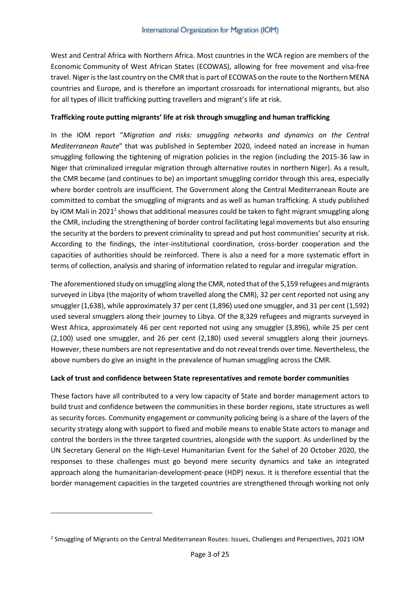West and Central Africa with Northern Africa. Most countries in the WCA region are members of the Economic Community of West African States (ECOWAS), allowing for free movement and visa-free travel. Niger is the last country on the CMR that is part of ECOWAS on the route to the Northern MENA countries and Europe, and is therefore an important crossroads for international migrants, but also for all types of illicit trafficking putting travellers and migrant's life at risk.

#### **Trafficking route putting migrants' life at risk through smuggling and human trafficking**

In the IOM report "*Migration and risks: smuggling networks and dynamics on the Central Mediterranean Route*" that was published in September 2020, indeed noted an increase in human smuggling following the tightening of migration policies in the region (including the 2015-36 law in Niger that criminalized irregular migration through alternative routes in northern Niger). As a result, the CMR became (and continues to be) an important smuggling corridor through this area, especially where border controls are insufficient. The Government along the Central Mediterranean Route are committed to combat the smuggling of migrants and as well as human trafficking. A study published by IOM Mali in 2021<sup>2</sup> shows that additional measures could be taken to fight migrant smuggling along the CMR, including the strengthening of border control facilitating legal movements but also ensuring the security at the borders to prevent criminality to spread and put host communities' security at risk. According to the findings, the inter-institutional coordination, cross-border cooperation and the capacities of authorities should be reinforced. There is also a need for a more systematic effort in terms of collection, analysis and sharing of information related to regular and irregular migration.

The aforementioned study on smuggling along the CMR, noted that of the 5,159 refugees and migrants surveyed in Libya (the majority of whom travelled along the CMR), 32 per cent reported not using any smuggler (1,638), while approximately 37 per cent (1,896) used one smuggler, and 31 per cent (1,592) used several smugglers along their journey to Libya. Of the 8,329 refugees and migrants surveyed in West Africa, approximately 46 per cent reported not using any smuggler (3,896), while 25 per cent (2,100) used one smuggler, and 26 per cent (2,180) used several smugglers along their journeys. However, these numbers are not representative and do not reveal trends over time. Nevertheless, the above numbers do give an insight in the prevalence of human smuggling across the CMR.

#### **Lack of trust and confidence between State representatives and remote border communities**

These factors have all contributed to a very low capacity of State and border management actors to build trust and confidence between the communities in these border regions, state structures as well as security forces. Community engagement or community policing being is a share of the layers of the security strategy along with support to fixed and mobile means to enable State actors to manage and control the borders in the three targeted countries, alongside with the support. As underlined by the UN Secretary General on the High-Level Humanitarian Event for the Sahel of 20 October 2020, the responses to these challenges must go beyond mere security dynamics and take an integrated approach along the humanitarian-development-peace (HDP) nexus. It is therefore essential that the border management capacities in the targeted countries are strengthened through working not only

<sup>&</sup>lt;sup>2</sup> Smuggling of Migrants on the Central Mediterranean Routes: Issues, Challenges and Perspectives, 2021 IOM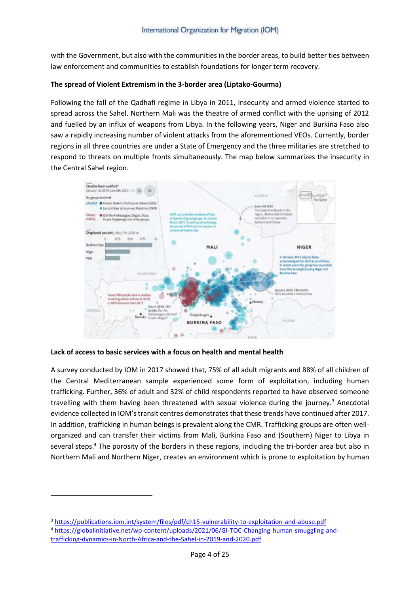with the Government, but also with the communities in the border areas, to build better ties between law enforcement and communities to establish foundations for longer term recovery.

#### **The spread of Violent Extremism in the 3-border area (Liptako-Gourma)**

Following the fall of the Qadhafi regime in Libya in 2011, insecurity and armed violence started to spread across the Sahel. Northern Mali was the theatre of armed conflict with the uprising of 2012 and fuelled by an influx of weapons from Libya. In the following years, Niger and Burkina Faso also saw a rapidly increasing number of violent attacks from the aforementioned VEOs. Currently, border regions in all three countries are under a State of Emergency and the three militaries are stretched to respond to threats on multiple fronts simultaneously. The map below summarizes the insecurity in the Central Sahel region.



**Lack of access to basic services with a focus on health and mental health**

A survey conducted by IOM in 2017 showed that, 75% of all adult migrants and 88% of all children of the Central Mediterranean sample experienced some form of exploitation, including human trafficking. Further, 36% of adult and 32% of child respondents reported to have observed someone travelling with them having been threatened with sexual violence during the journey.<sup>3</sup> Anecdotal evidence collected in IOM's transit centres demonstrates that these trends have continued after 2017. In addition, trafficking in human beings is prevalent along the CMR. Trafficking groups are often wellorganized and can transfer their victims from Mali, Burkina Faso and (Southern) Niger to Libya in several steps.<sup>4</sup> The porosity of the borders in these regions, including the tri-border area but also in Northern Mali and Northern Niger, creates an environment which is prone to exploitation by human

<sup>3</sup> <https://publications.iom.int/system/files/pdf/ch15-vulnerability-to-exploitation-and-abuse.pdf> <sup>4</sup> [https://globalinitiative.net/wp-content/uploads/2021/06/GI-TOC-Changing-human-smuggling-and](https://globalinitiative.net/wp-content/uploads/2021/06/GI-TOC-Changing-human-smuggling-and-trafficking-dynamics-in-North-Africa-and-the-Sahel-in-2019-and-2020.pdf)[trafficking-dynamics-in-North-Africa-and-the-Sahel-in-2019-and-2020.pdf](https://globalinitiative.net/wp-content/uploads/2021/06/GI-TOC-Changing-human-smuggling-and-trafficking-dynamics-in-North-Africa-and-the-Sahel-in-2019-and-2020.pdf)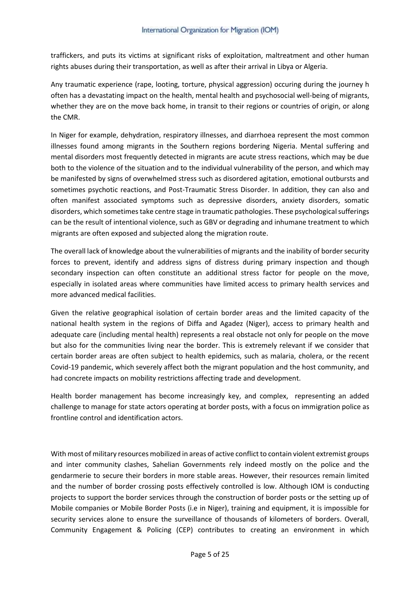traffickers, and puts its victims at significant risks of exploitation, maltreatment and other human rights abuses during their transportation, as well as after their arrival in Libya or Algeria.

Any traumatic experience (rape, looting, torture, physical aggression) occuring during the journey h often has a devastating impact on the health, mental health and psychosocial well-being of migrants, whether they are on the move back home, in transit to their regions or countries of origin, or along the CMR.

In Niger for example, dehydration, respiratory illnesses, and diarrhoea represent the most common illnesses found among migrants in the Southern regions bordering Nigeria. Mental suffering and mental disorders most frequently detected in migrants are acute stress reactions, which may be due both to the violence of the situation and to the individual vulnerability of the person, and which may be manifested by signs of overwhelmed stress such as disordered agitation, emotional outbursts and sometimes psychotic reactions, and Post-Traumatic Stress Disorder. In addition, they can also and often manifest associated symptoms such as depressive disorders, anxiety disorders, somatic disorders, which sometimes take centre stage in traumatic pathologies. These psychological sufferings can be the result of intentional violence, such as GBV or degrading and inhumane treatment to which migrants are often exposed and subjected along the migration route.

The overall lack of knowledge about the vulnerabilities of migrants and the inability of border security forces to prevent, identify and address signs of distress during primary inspection and though secondary inspection can often constitute an additional stress factor for people on the move, especially in isolated areas where communities have limited access to primary health services and more advanced medical facilities.

Given the relative geographical isolation of certain border areas and the limited capacity of the national health system in the regions of Diffa and Agadez (Niger), access to primary health and adequate care (including mental health) represents a real obstacle not only for people on the move but also for the communities living near the border. This is extremely relevant if we consider that certain border areas are often subject to health epidemics, such as malaria, cholera, or the recent Covid-19 pandemic, which severely affect both the migrant population and the host community, and had concrete impacts on mobility restrictions affecting trade and development.

Health border management has become increasingly key, and complex, representing an added challenge to manage for state actors operating at border posts, with a focus on immigration police as frontline control and identification actors.

With most of military resources mobilized in areas of active conflict to contain violent extremist groups and inter community clashes, Sahelian Governments rely indeed mostly on the police and the gendarmerie to secure their borders in more stable areas. However, their resources remain limited and the number of border crossing posts effectively controlled is low. Although IOM is conducting projects to support the border services through the construction of border posts or the setting up of Mobile companies or Mobile Border Posts (i.e in Niger), training and equipment, it is impossible for security services alone to ensure the surveillance of thousands of kilometers of borders. Overall, Community Engagement & Policing (CEP) contributes to creating an environment in which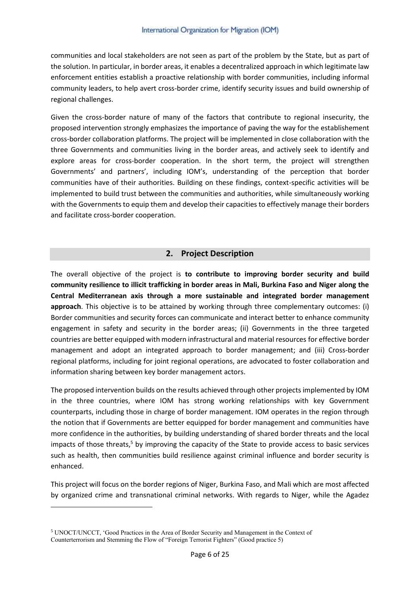communities and local stakeholders are not seen as part of the problem by the State, but as part of the solution. In particular, in border areas, it enables a decentralized approach in which legitimate law enforcement entities establish a proactive relationship with border communities, including informal community leaders, to help avert cross-border crime, identify security issues and build ownership of regional challenges.

Given the cross-border nature of many of the factors that contribute to regional insecurity, the proposed intervention strongly emphasizes the importance of paving the way for the establishement cross-border collaboration platforms. The project will be implemented in close collaboration with the three Governments and communities living in the border areas, and actively seek to identify and explore areas for cross-border cooperation. In the short term, the project will strengthen Governments' and partners', including IOM's, understanding of the perception that border communities have of their authorities. Building on these findings, context-specific activities will be implemented to build trust between the communities and authorities, while simultaneously working with the Governments to equip them and develop their capacities to effectively manage their borders and facilitate cross-border cooperation.

#### **2. Project Description**

The overall objective of the project is **to contribute to improving border security and build community resilience to illicit trafficking in border areas in Mali, Burkina Faso and Niger along the Central Mediterranean axis through a more sustainable and integrated border management approach**. This objective is to be attained by working through three complementary outcomes: (i) Border communities and security forces can communicate and interact better to enhance community engagement in safety and security in the border areas; (ii) Governments in the three targeted countries are better equipped with modern infrastructural and material resources for effective border management and adopt an integrated approach to border management; and (iii) Cross-border regional platforms, including for joint regional operations, are advocated to foster collaboration and information sharing between key border management actors.

The proposed intervention builds on the results achieved through other projects implemented by IOM in the three countries, where IOM has strong working relationships with key Government counterparts, including those in charge of border management. IOM operates in the region through the notion that if Governments are better equipped for border management and communities have more confidence in the authorities, by building understanding of shared border threats and the local impacts of those threats,<sup>5</sup> by improving the capacity of the State to provide access to basic services such as health, then communities build resilience against criminal influence and border security is enhanced.

This project will focus on the border regions of Niger, Burkina Faso, and Mali which are most affected by organized crime and transnational criminal networks. With regards to Niger, while the Agadez

<sup>5</sup> UNOCT/UNCCT, 'Good Practices in the Area of Border Security and Management in the Context of Counterterrorism and Stemming the Flow of "Foreign Terrorist Fighters" (Good practice 5)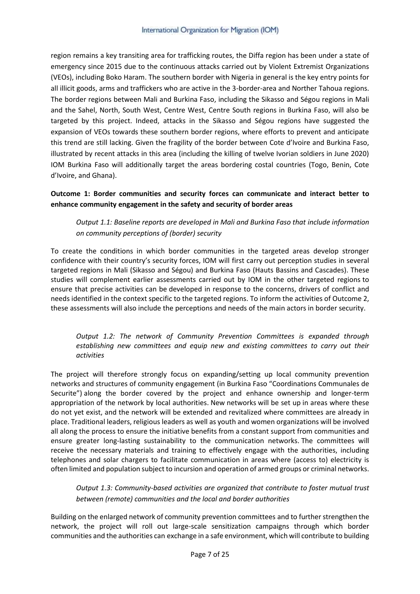region remains a key transiting area for trafficking routes, the Diffa region has been under a state of emergency since 2015 due to the continuous attacks carried out by Violent Extremist Organizations (VEOs), including Boko Haram. The southern border with Nigeria in general is the key entry points for all illicit goods, arms and traffickers who are active in the 3-border-area and Norther Tahoua regions. The border regions between Mali and Burkina Faso, including the Sikasso and Ségou regions in Mali and the Sahel, North, South West, Centre West, Centre South regions in Burkina Faso, will also be targeted by this project. Indeed, attacks in the Sikasso and Ségou regions have suggested the expansion of VEOs towards these southern border regions, where efforts to prevent and anticipate this trend are still lacking. Given the fragility of the border between Cote d'Ivoire and Burkina Faso, illustrated by recent attacks in this area (including the killing of twelve Ivorian soldiers in June 2020) IOM Burkina Faso will additionally target the areas bordering costal countries (Togo, Benin, Cote d'Ivoire, and Ghana).

#### **Outcome 1: Border communities and security forces can communicate and interact better to enhance community engagement in the safety and security of border areas**

*Output 1.1: Baseline reports are developed in Mali and Burkina Faso that include information on community perceptions of (border) security*

To create the conditions in which border communities in the targeted areas develop stronger confidence with their country's security forces, IOM will first carry out perception studies in several targeted regions in Mali (Sikasso and Ségou) and Burkina Faso (Hauts Bassins and Cascades). These studies will complement earlier assessments carried out by IOM in the other targeted regions to ensure that precise activities can be developed in response to the concerns, drivers of conflict and needs identified in the context specific to the targeted regions. To inform the activities of Outcome 2, these assessments will also include the perceptions and needs of the main actors in border security.

#### *Output 1.2: The network of Community Prevention Committees is expanded through establishing new committees and equip new and existing committees to carry out their activities*

The project will therefore strongly focus on expanding/setting up local community prevention networks and structures of community engagement (in Burkina Faso "Coordinations Communales de Securite") along the border covered by the project and enhance ownership and longer-term appropriation of the network by local authorities. New networks will be set up in areas where these do not yet exist, and the network will be extended and revitalized where committees are already in place. Traditional leaders, religious leaders as well as youth and women organizations will be involved all along the process to ensure the initiative benefits from a constant support from communities and ensure greater long-lasting sustainability to the communication networks. The committees will receive the necessary materials and training to effectively engage with the authorities, including telephones and solar chargers to facilitate communication in areas where (access to) electricity is often limited and population subject to incursion and operation of armed groups or criminal networks.

*Output 1.3: Community-based activities are organized that contribute to foster mutual trust between (remote) communities and the local and border authorities*

Building on the enlarged network of community prevention committees and to further strengthen the network, the project will roll out large-scale sensitization campaigns through which border communities and the authorities can exchange in a safe environment, which will contribute to building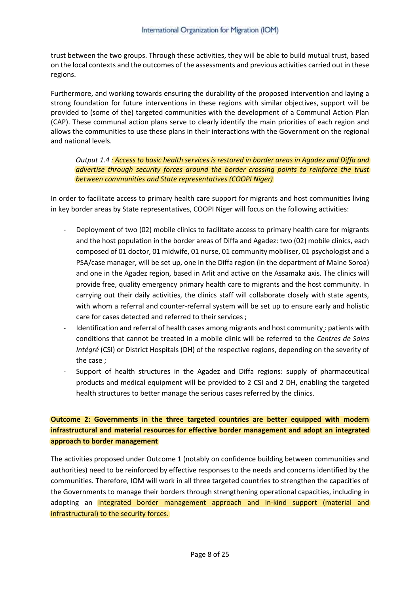trust between the two groups. Through these activities, they will be able to build mutual trust, based on the local contexts and the outcomes of the assessments and previous activities carried out in these regions.

Furthermore, and working towards ensuring the durability of the proposed intervention and laying a strong foundation for future interventions in these regions with similar objectives, support will be provided to (some of the) targeted communities with the development of a Communal Action Plan (CAP). These communal action plans serve to clearly identify the main priorities of each region and allows the communities to use these plans in their interactions with the Government on the regional and national levels.

*Output 1.4 : Access to basic health services is restored in border areas in Agadez and Diffa and advertise through security forces around the border crossing points to reinforce the trust between communities and State representatives (COOPI Niger)*

In order to facilitate access to primary health care support for migrants and host communities living in key border areas by State representatives, COOPI Niger will focus on the following activities:

- Deployment of two (02) mobile clinics to facilitate access to primary health care for migrants and the host population in the border areas of Diffa and Agadez: two (02) mobile clinics, each composed of 01 doctor, 01 midwife, 01 nurse, 01 community mobiliser, 01 psychologist and a PSA/case manager, will be set up, one in the Diffa region (in the department of Maine Soroa) and one in the Agadez region, based in Arlit and active on the Assamaka axis. The clinics will provide free, quality emergency primary health care to migrants and the host community. In carrying out their daily activities, the clinics staff will collaborate closely with state agents, with whom a referral and counter-referral system will be set up to ensure early and holistic care for cases detected and referred to their services ;
- Identification and referral of health cases among migrants and host community : patients with conditions that cannot be treated in a mobile clinic will be referred to the *Centres de Soins Intégré* (CSI) or District Hospitals (DH) of the respective regions, depending on the severity of the case ;
- Support of health structures in the Agadez and Diffa regions: supply of pharmaceutical products and medical equipment will be provided to 2 CSI and 2 DH, enabling the targeted health structures to better manage the serious cases referred by the clinics.

#### **Outcome 2: Governments in the three targeted countries are better equipped with modern infrastructural and material resources for effective border management and adopt an integrated approach to border management**

The activities proposed under Outcome 1 (notably on confidence building between communities and authorities) need to be reinforced by effective responses to the needs and concerns identified by the communities. Therefore, IOM will work in all three targeted countries to strengthen the capacities of the Governments to manage their borders through strengthening operational capacities, including in adopting an integrated border management approach and in-kind support (material and infrastructural) to the security forces.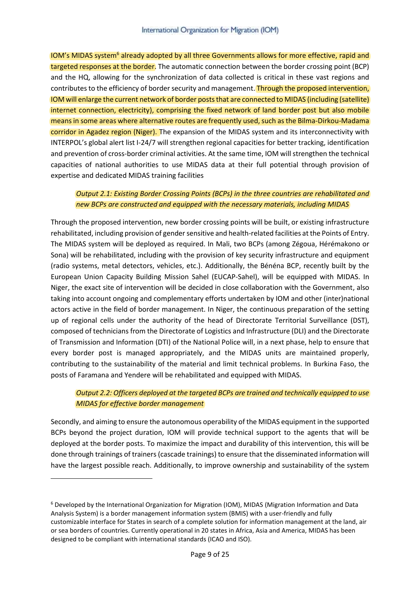IOM's MIDAS system<sup>6</sup> already adopted by all three Governments allows for more effective, rapid and targeted responses at the border. The automatic connection between the border crossing point (BCP) and the HQ, allowing for the synchronization of data collected is critical in these vast regions and contributes to the efficiency of border security and management. Through the proposed intervention, IOM will enlarge the current network of border posts that are connected to MIDAS (including (satellite) internet connection, electricity), comprising the fixed network of land border post but also mobile means in some areas where alternative routes are frequently used, such as the Bilma-Dirkou-Madama corridor in Agadez region (Niger). The expansion of the MIDAS system and its interconnectivity with INTERPOL's global alert list I-24/7 will strengthen regional capacities for better tracking, identification and prevention of cross-border criminal activities. At the same time, IOM will strengthen the technical capacities of national authorities to use MIDAS data at their full potential through provision of expertise and dedicated MIDAS training facilities

#### *Output 2.1: Existing Border Crossing Points (BCPs) in the three countries are rehabilitated and new BCPs are constructed and equipped with the necessary materials, including MIDAS*

Through the proposed intervention, new border crossing points will be built, or existing infrastructure rehabilitated, including provision of gender sensitive and health-related facilities at the Points of Entry. The MIDAS system will be deployed as required. In Mali, two BCPs (among Zégoua, Hérémakono or Sona) will be rehabilitated, including with the provision of key security infrastructure and equipment (radio systems, metal detectors, vehicles, etc.). Additionally, the Bénéna BCP, recently built by the European Union Capacity Building Mission Sahel (EUCAP-Sahel), will be equipped with MIDAS. In Niger, the exact site of intervention will be decided in close collaboration with the Government, also taking into account ongoing and complementary efforts undertaken by IOM and other (inter)national actors active in the field of border management. In Niger, the continuous preparation of the setting up of regional cells under the authority of the head of Directorate Territorial Surveillance (DST), composed of technicians from the Directorate of Logistics and Infrastructure (DLI) and the Directorate of Transmission and Information (DTI) of the National Police will, in a next phase, help to ensure that every border post is managed appropriately, and the MIDAS units are maintained properly, contributing to the sustainability of the material and limit technical problems. In Burkina Faso, the posts of Faramana and Yendere will be rehabilitated and equipped with MIDAS.

#### *Output 2.2: Officers deployed at the targeted BCPs are trained and technically equipped to use MIDAS for effective border management*

Secondly, and aiming to ensure the autonomous operability of the MIDAS equipment in the supported BCPs beyond the project duration, IOM will provide technical support to the agents that will be deployed at the border posts. To maximize the impact and durability of this intervention, this will be done through trainings of trainers (cascade trainings) to ensure that the disseminated information will have the largest possible reach. Additionally, to improve ownership and sustainability of the system

<sup>6</sup> Developed by the International Organization for Migration (IOM), MIDAS (Migration Information and Data Analysis System) is a border management information system (BMIS) with a user-friendly and fully customizable interface for States in search of a complete solution for information management at the land, air or sea borders of countries. Currently operational in 20 states in Africa, Asia and America, MIDAS has been designed to be compliant with international standards (ICAO and ISO).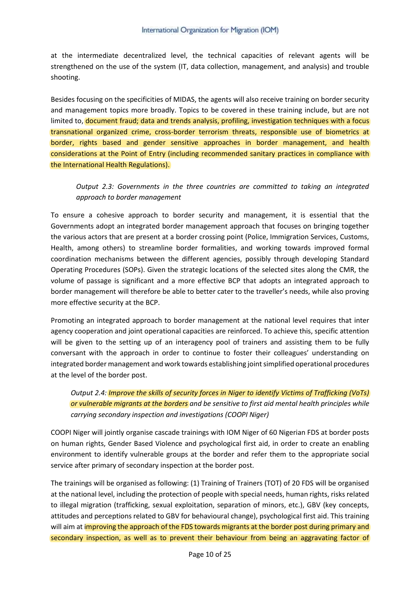at the intermediate decentralized level, the technical capacities of relevant agents will be strengthened on the use of the system (IT, data collection, management, and analysis) and trouble shooting.

Besides focusing on the specificities of MIDAS, the agents will also receive training on border security and management topics more broadly. Topics to be covered in these training include, but are not limited to, document fraud; data and trends analysis, profiling, investigation techniques with a focus transnational organized crime, cross-border terrorism threats, responsible use of biometrics at border, rights based and gender sensitive approaches in border management, and health considerations at the Point of Entry (including recommended sanitary practices in compliance with the International Health Regulations).

*Output 2.3: Governments in the three countries are committed to taking an integrated approach to border management* 

To ensure a cohesive approach to border security and management, it is essential that the Governments adopt an integrated border management approach that focuses on bringing together the various actors that are present at a border crossing point (Police, Immigration Services, Customs, Health, among others) to streamline border formalities, and working towards improved formal coordination mechanisms between the different agencies, possibly through developing Standard Operating Procedures (SOPs). Given the strategic locations of the selected sites along the CMR, the volume of passage is significant and a more effective BCP that adopts an integrated approach to border management will therefore be able to better cater to the traveller's needs, while also proving more effective security at the BCP.

Promoting an integrated approach to border management at the national level requires that inter agency cooperation and joint operational capacities are reinforced. To achieve this, specific attention will be given to the setting up of an interagency pool of trainers and assisting them to be fully conversant with the approach in order to continue to foster their colleagues' understanding on integrated border management and work towards establishing joint simplified operational procedures at the level of the border post.

*Output 2.4: Improve the skills of security forces in Niger to identify Victims of Trafficking (VoTs) or vulnerable migrants at the borders and be sensitive to first aid mental health principles while carrying secondary inspection and investigations (COOPI Niger)*

COOPI Niger will jointly organise cascade trainings with IOM Niger of 60 Nigerian FDS at border posts on human rights, Gender Based Violence and psychological first aid, in order to create an enabling environment to identify vulnerable groups at the border and refer them to the appropriate social service after primary of secondary inspection at the border post.

The trainings will be organised as following: (1) Training of Trainers (TOT) of 20 FDS will be organised at the national level, including the protection of people with special needs, human rights, risks related to illegal migration (trafficking, sexual exploitation, separation of minors, etc.), GBV (key concepts, attitudes and perceptions related to GBV for behavioural change), psychological first aid. This training will aim at improving the approach of the FDS towards migrants at the border post during primary and secondary inspection, as well as to prevent their behaviour from being an aggravating factor of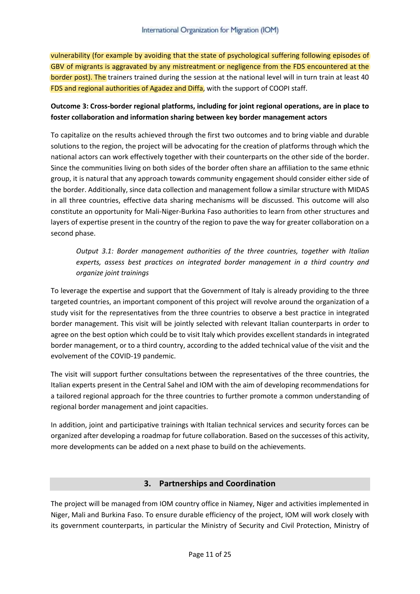vulnerability (for example by avoiding that the state of psychological suffering following episodes of GBV of migrants is aggravated by any mistreatment or negligence from the FDS encountered at the border post). The trainers trained during the session at the national level will in turn train at least 40 FDS and regional authorities of Agadez and Diffa, with the support of COOPI staff.

#### **Outcome 3: Cross-border regional platforms, including for joint regional operations, are in place to foster collaboration and information sharing between key border management actors**

To capitalize on the results achieved through the first two outcomes and to bring viable and durable solutions to the region, the project will be advocating for the creation of platforms through which the national actors can work effectively together with their counterparts on the other side of the border. Since the communities living on both sides of the border often share an affiliation to the same ethnic group, it is natural that any approach towards community engagement should consider either side of the border. Additionally, since data collection and management follow a similar structure with MIDAS in all three countries, effective data sharing mechanisms will be discussed. This outcome will also constitute an opportunity for Mali-Niger-Burkina Faso authorities to learn from other structures and layers of expertise present in the country of the region to pave the way for greater collaboration on a second phase.

#### *Output 3.1: Border management authorities of the three countries, together with Italian experts, assess best practices on integrated border management in a third country and organize joint trainings*

To leverage the expertise and support that the Government of Italy is already providing to the three targeted countries, an important component of this project will revolve around the organization of a study visit for the representatives from the three countries to observe a best practice in integrated border management. This visit will be jointly selected with relevant Italian counterparts in order to agree on the best option which could be to visit Italy which provides excellent standards in integrated border management, or to a third country, according to the added technical value of the visit and the evolvement of the COVID-19 pandemic.

The visit will support further consultations between the representatives of the three countries, the Italian experts present in the Central Sahel and IOM with the aim of developing recommendations for a tailored regional approach for the three countries to further promote a common understanding of regional border management and joint capacities.

In addition, joint and participative trainings with Italian technical services and security forces can be organized after developing a roadmap for future collaboration. Based on the successes of this activity, more developments can be added on a next phase to build on the achievements.

#### **3. Partnerships and Coordination**

The project will be managed from IOM country office in Niamey, Niger and activities implemented in Niger, Mali and Burkina Faso. To ensure durable efficiency of the project, IOM will work closely with its government counterparts, in particular the Ministry of Security and Civil Protection, Ministry of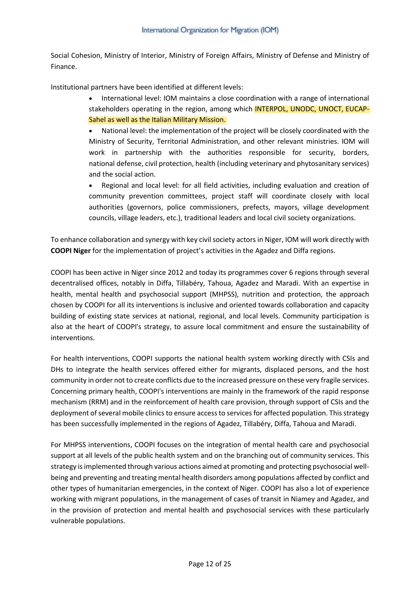Social Cohesion, Ministry of Interior, Ministry of Foreign Affairs, Ministry of Defense and Ministry of Finance.

Institutional partners have been identified at different levels:

- International level: IOM maintains a close coordination with a range of international stakeholders operating in the region, among which INTERPOL, UNODC, UNOCT, EUCAP-Sahel as well as the Italian Military Mission.
- National level: the implementation of the project will be closely coordinated with the Ministry of Security, Territorial Administration, and other relevant ministries. IOM will work in partnership with the authorities responsible for security, borders, national defense, civil protection, health (including veterinary and phytosanitary services) and the social action.
- Regional and local level: for all field activities, including evaluation and creation of community prevention committees, project staff will coordinate closely with local authorities (governors, police commissioners, prefects, mayors, village development councils, village leaders, etc.), traditional leaders and local civil society organizations.

To enhance collaboration and synergy with key civil society actors in Niger, IOM will work directly with **COOPI Niger** for the implementation of project's activities in the Agadez and Diffa regions.

COOPI has been active in Niger since 2012 and today its programmes cover 6 regions through several decentralised offices, notably in Diffa, Tillabéry, Tahoua, Agadez and Maradi. With an expertise in health, mental health and psychosocial support (MHPSS), nutrition and protection, the approach chosen by COOPI for all its interventions is inclusive and oriented towards collaboration and capacity building of existing state services at national, regional, and local levels. Community participation is also at the heart of COOPI's strategy, to assure local commitment and ensure the sustainability of interventions.

For health interventions, COOPI supports the national health system working directly with CSIs and DHs to integrate the health services offered either for migrants, displaced persons, and the host community in order not to create conflicts due to the increased pressure on these very fragile services. Concerning primary health, COOPI's interventions are mainly in the framework of the rapid response mechanism (RRM) and in the reinforcement of health care provision, through support of CSIs and the deployment of several mobile clinics to ensure access to services for affected population. This strategy has been successfully implemented in the regions of Agadez, Tillabéry, Diffa, Tahoua and Maradi.

For MHPSS interventions, COOPI focuses on the integration of mental health care and psychosocial support at all levels of the public health system and on the branching out of community services. This strategy is implemented through various actions aimed at promoting and protecting psychosocial wellbeing and preventing and treating mental health disorders among populations affected by conflict and other types of humanitarian emergencies, in the context of Niger. COOPI has also a lot of experience working with migrant populations, in the management of cases of transit in Niamey and Agadez, and in the provision of protection and mental health and psychosocial services with these particularly vulnerable populations.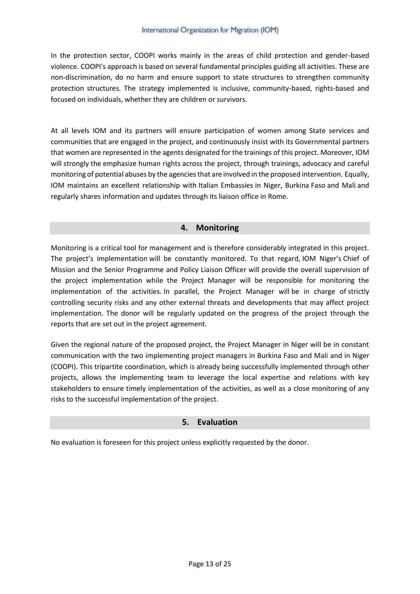In the protection sector, COOPI works mainly in the areas of child protection and gender-based violence. COOPI's approach is based on several fundamental principles guiding all activities. These are non-discrimination, do no harm and ensure support to state structures to strengthen community protection structures. The strategy implemented is inclusive, community-based, rights-based and focused on individuals, whether they are children or survivors.

At all levels IOM and its partners will ensure participation of women among State services and communities that are engaged in the project, and continuously insist with its Governmental partners that women are represented in the agents designated for the trainings of this project. Moreover, IOM will strongly the emphasize human rights across the project, through trainings, advocacy and careful monitoring of potential abuses by the agencies that are involved in the proposed intervention. Equally, IOM maintains an excellent relationship with Italian Embassies in Niger, Burkina Faso and Mali and regularly shares information and updates through its liaison office in Rome.

#### **4. Monitoring**

Monitoring is a critical tool for management and is therefore considerably integrated in this project. The project's implementation will be constantly monitored. To that regard, IOM Niger's Chief of Mission and the Senior Programme and Policy Liaison Officer will provide the overall supervision of the project implementation while the Project Manager will be responsible for monitoring the implementation of the activities. In parallel, the Project Manager will be in charge of strictly controlling security risks and any other external threats and developments that may affect project implementation. The donor will be regularly updated on the progress of the project through the reports that are set out in the project agreement.

Given the regional nature of the proposed project, the Project Manager in Niger will be in constant communication with the two implementing project managers in Burkina Faso and Mali and in Niger (COOPI). This tripartite coordination, which is already being successfully implemented through other projects, allows the implementing team to leverage the local expertise and relations with key stakeholders to ensure timely implementation of the activities, as well as a close monitoring of any risks to the successful implementation of the project.

#### **5. Evaluation**

No evaluation is foreseen for this project unless explicitly requested by the donor.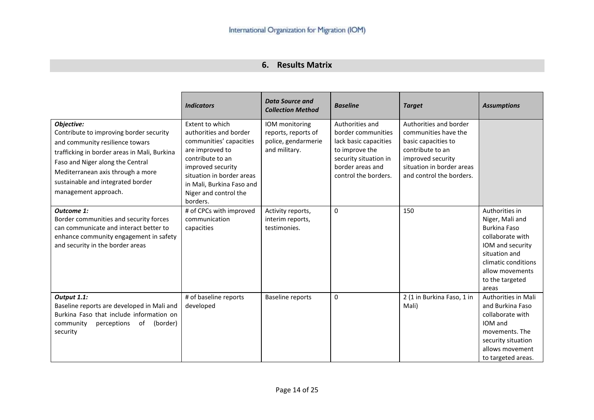### **6. Results Matrix**

|                                                                                                                                                                                                                                                                                | <b>Indicators</b>                                                                                                                                                                                                               | <b>Data Source and</b><br><b>Collection Method</b>                            | <b>Baseline</b>                                                                                                                                       | <b>Target</b>                                                                                                                                                           | <b>Assumptions</b>                                                                                                                                                                      |
|--------------------------------------------------------------------------------------------------------------------------------------------------------------------------------------------------------------------------------------------------------------------------------|---------------------------------------------------------------------------------------------------------------------------------------------------------------------------------------------------------------------------------|-------------------------------------------------------------------------------|-------------------------------------------------------------------------------------------------------------------------------------------------------|-------------------------------------------------------------------------------------------------------------------------------------------------------------------------|-----------------------------------------------------------------------------------------------------------------------------------------------------------------------------------------|
| Objective:<br>Contribute to improving border security<br>and community resilience towars<br>trafficking in border areas in Mali, Burkina<br>Faso and Niger along the Central<br>Mediterranean axis through a more<br>sustainable and integrated border<br>management approach. | Extent to which<br>authorities and border<br>communities' capacities<br>are improved to<br>contribute to an<br>improved security<br>situation in border areas<br>in Mali, Burkina Faso and<br>Niger and control the<br>borders. | IOM monitoring<br>reports, reports of<br>police, gendarmerie<br>and military. | Authorities and<br>border communities<br>lack basic capacities<br>to improve the<br>security situation in<br>border areas and<br>control the borders. | Authorities and border<br>communities have the<br>basic capacities to<br>contribute to an<br>improved security<br>situation in border areas<br>and control the borders. |                                                                                                                                                                                         |
| Outcome 1:<br>Border communities and security forces<br>can communicate and interact better to<br>enhance community engagement in safety<br>and security in the border areas                                                                                                   | # of CPCs with improved<br>communication<br>capacities                                                                                                                                                                          | Activity reports,<br>interim reports,<br>testimonies.                         | 0                                                                                                                                                     | 150                                                                                                                                                                     | Authorities in<br>Niger, Mali and<br><b>Burkina Faso</b><br>collaborate with<br>IOM and security<br>situation and<br>climatic conditions<br>allow movements<br>to the targeted<br>areas |
| Output 1.1:<br>Baseline reports are developed in Mali and<br>Burkina Faso that include information on<br>of<br>(border)<br>community<br>perceptions<br>security                                                                                                                | # of baseline reports<br>developed                                                                                                                                                                                              | <b>Baseline reports</b>                                                       | 0                                                                                                                                                     | 2 (1 in Burkina Faso, 1 in<br>Mali)                                                                                                                                     | Authorities in Mali<br>and Burkina Faso<br>collaborate with<br>IOM and<br>movements. The<br>security situation<br>allows movement<br>to targeted areas.                                 |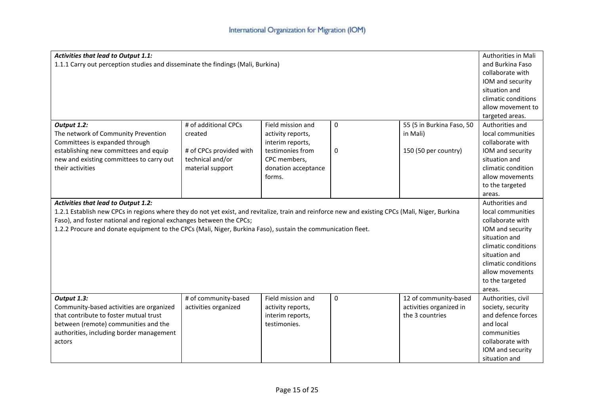| <b>Activities that lead to Output 1.1:</b>                                                                                                       |                         |                     |          |                           | Authorities in Mali |
|--------------------------------------------------------------------------------------------------------------------------------------------------|-------------------------|---------------------|----------|---------------------------|---------------------|
| 1.1.1 Carry out perception studies and disseminate the findings (Mali, Burkina)                                                                  |                         |                     |          |                           | and Burkina Faso    |
|                                                                                                                                                  |                         |                     |          |                           | collaborate with    |
|                                                                                                                                                  |                         |                     |          |                           | IOM and security    |
|                                                                                                                                                  |                         |                     |          |                           | situation and       |
|                                                                                                                                                  |                         |                     |          |                           | climatic conditions |
|                                                                                                                                                  |                         |                     |          |                           | allow movement to   |
|                                                                                                                                                  |                         |                     |          |                           | targeted areas.     |
| Output 1.2:                                                                                                                                      | # of additional CPCs    | Field mission and   | 0        | 55 (5 in Burkina Faso, 50 | Authorities and     |
| The network of Community Prevention                                                                                                              | created                 | activity reports,   |          | in Mali)                  | local communities   |
| Committees is expanded through                                                                                                                   |                         | interim reports,    |          |                           | collaborate with    |
| establishing new committees and equip                                                                                                            | # of CPCs provided with | testimonies from    | 0        | 150 (50 per country)      | IOM and security    |
| new and existing committees to carry out                                                                                                         | technical and/or        | CPC members,        |          |                           | situation and       |
| their activities                                                                                                                                 | material support        | donation acceptance |          |                           | climatic condition  |
|                                                                                                                                                  |                         | forms.              |          |                           | allow movements     |
|                                                                                                                                                  |                         |                     |          |                           | to the targeted     |
|                                                                                                                                                  |                         |                     |          |                           | areas.              |
| <b>Activities that lead to Output 1.2:</b>                                                                                                       |                         |                     |          |                           | Authorities and     |
| 1.2.1 Establish new CPCs in regions where they do not yet exist, and revitalize, train and reinforce new and existing CPCs (Mali, Niger, Burkina |                         |                     |          |                           | local communities   |
| Faso), and foster national and regional exchanges between the CPCs;                                                                              |                         |                     |          |                           | collaborate with    |
| 1.2.2 Procure and donate equipment to the CPCs (Mali, Niger, Burkina Faso), sustain the communication fleet.                                     |                         |                     |          |                           | IOM and security    |
|                                                                                                                                                  |                         |                     |          |                           | situation and       |
|                                                                                                                                                  |                         |                     |          |                           | climatic conditions |
|                                                                                                                                                  |                         |                     |          |                           | situation and       |
|                                                                                                                                                  |                         |                     |          |                           | climatic conditions |
|                                                                                                                                                  |                         |                     |          |                           | allow movements     |
|                                                                                                                                                  |                         |                     |          |                           | to the targeted     |
|                                                                                                                                                  |                         |                     |          |                           | areas.              |
| Output 1.3:                                                                                                                                      | # of community-based    | Field mission and   | $\Omega$ | 12 of community-based     | Authorities, civil  |
| Community-based activities are organized                                                                                                         | activities organized    | activity reports,   |          | activities organized in   | society, security   |
| that contribute to foster mutual trust                                                                                                           |                         | interim reports,    |          | the 3 countries           | and defence forces  |
| between (remote) communities and the                                                                                                             |                         | testimonies.        |          |                           | and local           |
| authorities, including border management                                                                                                         |                         |                     |          |                           | communities         |
| actors                                                                                                                                           |                         |                     |          |                           | collaborate with    |
|                                                                                                                                                  |                         |                     |          |                           | IOM and security    |
|                                                                                                                                                  |                         |                     |          |                           | situation and       |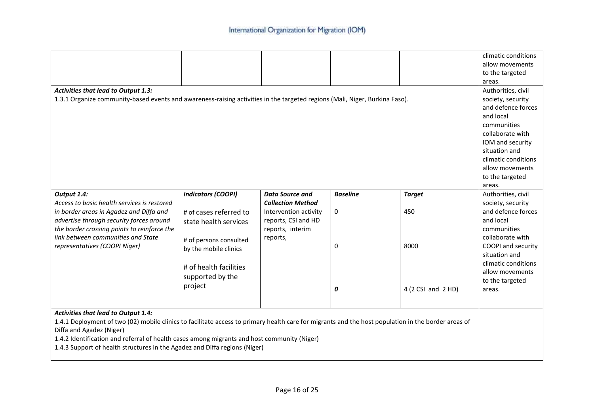| Activities that lead to Output 1.3:<br>1.3.1 Organize community-based events and awareness-raising activities in the targeted regions (Mali, Niger, Burkina Faso).                                                                                                                                                                                                                                  |                                                 |                                                                  |                 |                    | climatic conditions<br>allow movements<br>to the targeted<br>areas.<br>Authorities, civil<br>society, security<br>and defence forces<br>and local<br>communities<br>collaborate with<br>IOM and security<br>situation and<br>climatic conditions<br>allow movements<br>to the targeted<br>areas. |
|-----------------------------------------------------------------------------------------------------------------------------------------------------------------------------------------------------------------------------------------------------------------------------------------------------------------------------------------------------------------------------------------------------|-------------------------------------------------|------------------------------------------------------------------|-----------------|--------------------|--------------------------------------------------------------------------------------------------------------------------------------------------------------------------------------------------------------------------------------------------------------------------------------------------|
| Output 1.4:<br>Access to basic health services is restored                                                                                                                                                                                                                                                                                                                                          | <b>Indicators (COOPI)</b>                       | <b>Data Source and</b><br><b>Collection Method</b>               | <b>Baseline</b> | <b>Target</b>      | Authorities, civil<br>society, security                                                                                                                                                                                                                                                          |
| in border areas in Agadez and Diffa and<br>advertise through security forces around<br>the border crossing points to reinforce the                                                                                                                                                                                                                                                                  | # of cases referred to<br>state health services | Intervention activity<br>reports, CSI and HD<br>reports, interim | 0               | 450                | and defence forces<br>and local<br>communities                                                                                                                                                                                                                                                   |
| link between communities and State<br>representatives (COOPI Niger)                                                                                                                                                                                                                                                                                                                                 | # of persons consulted<br>by the mobile clinics | reports,                                                         | 0               | 8000               | collaborate with<br>COOPI and security<br>situation and<br>climatic conditions                                                                                                                                                                                                                   |
|                                                                                                                                                                                                                                                                                                                                                                                                     | # of health facilities<br>supported by the      |                                                                  |                 |                    | allow movements<br>to the targeted                                                                                                                                                                                                                                                               |
|                                                                                                                                                                                                                                                                                                                                                                                                     | project                                         |                                                                  | 0               | 4 (2 CSI and 2 HD) | areas.                                                                                                                                                                                                                                                                                           |
| Activities that lead to Output 1.4:<br>1.4.1 Deployment of two (02) mobile clinics to facilitate access to primary health care for migrants and the host population in the border areas of<br>Diffa and Agadez (Niger)<br>1.4.2 Identification and referral of health cases among migrants and host community (Niger)<br>1.4.3 Support of health structures in the Agadez and Diffa regions (Niger) |                                                 |                                                                  |                 |                    |                                                                                                                                                                                                                                                                                                  |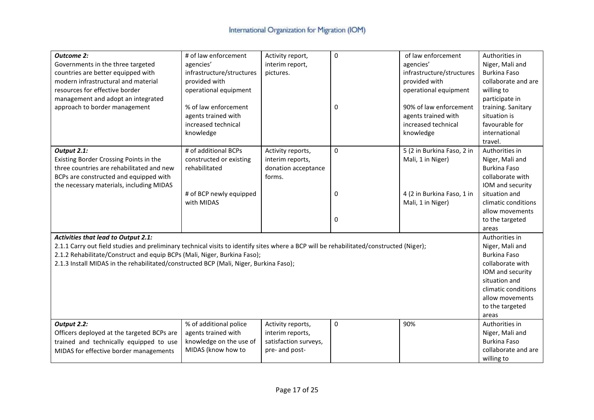| <b>Outcome 2:</b>                                                                                                                       | # of law enforcement      | Activity report,      | 0           | of law enforcement         | Authorities in      |
|-----------------------------------------------------------------------------------------------------------------------------------------|---------------------------|-----------------------|-------------|----------------------------|---------------------|
| Governments in the three targeted                                                                                                       | agencies'                 | interim report,       |             | agencies'                  | Niger, Mali and     |
| countries are better equipped with                                                                                                      | infrastructure/structures | pictures.             |             | infrastructure/structures  | <b>Burkina Faso</b> |
| modern infrastructural and material                                                                                                     | provided with             |                       |             | provided with              | collaborate and are |
| resources for effective border                                                                                                          | operational equipment     |                       |             | operational equipment      | willing to          |
| management and adopt an integrated                                                                                                      |                           |                       |             |                            | participate in      |
| approach to border management                                                                                                           | % of law enforcement      |                       | 0           | 90% of law enforcement     | training. Sanitary  |
|                                                                                                                                         | agents trained with       |                       |             | agents trained with        | situation is        |
|                                                                                                                                         | increased technical       |                       |             | increased technical        | favourable for      |
|                                                                                                                                         | knowledge                 |                       |             | knowledge                  | international       |
|                                                                                                                                         |                           |                       |             |                            | travel.             |
| Output 2.1:                                                                                                                             | # of additional BCPs      | Activity reports,     | $\mathbf 0$ | 5 (2 in Burkina Faso, 2 in | Authorities in      |
| Existing Border Crossing Points in the                                                                                                  | constructed or existing   | interim reports,      |             | Mali, 1 in Niger)          | Niger, Mali and     |
| three countries are rehabilitated and new                                                                                               | rehabilitated             | donation acceptance   |             |                            | <b>Burkina Faso</b> |
| BCPs are constructed and equipped with                                                                                                  |                           | forms.                |             |                            | collaborate with    |
| the necessary materials, including MIDAS                                                                                                |                           |                       |             |                            | IOM and security    |
|                                                                                                                                         | # of BCP newly equipped   |                       | 0           | 4 (2 in Burkina Faso, 1 in | situation and       |
|                                                                                                                                         | with MIDAS                |                       |             | Mali, 1 in Niger)          | climatic conditions |
|                                                                                                                                         |                           |                       |             |                            | allow movements     |
|                                                                                                                                         |                           |                       | 0           |                            | to the targeted     |
|                                                                                                                                         |                           |                       |             |                            | areas               |
| <b>Activities that lead to Output 2.1:</b>                                                                                              |                           |                       |             |                            | Authorities in      |
| 2.1.1 Carry out field studies and preliminary technical visits to identify sites where a BCP will be rehabilitated/constructed (Niger); |                           |                       |             |                            | Niger, Mali and     |
| 2.1.2 Rehabilitate/Construct and equip BCPs (Mali, Niger, Burkina Faso);                                                                |                           |                       |             |                            | <b>Burkina Faso</b> |
| 2.1.3 Install MIDAS in the rehabilitated/constructed BCP (Mali, Niger, Burkina Faso);                                                   |                           |                       |             |                            | collaborate with    |
|                                                                                                                                         |                           |                       |             |                            | IOM and security    |
|                                                                                                                                         |                           |                       |             |                            | situation and       |
|                                                                                                                                         |                           |                       |             |                            | climatic conditions |
|                                                                                                                                         |                           |                       |             |                            | allow movements     |
|                                                                                                                                         |                           |                       |             |                            | to the targeted     |
|                                                                                                                                         |                           |                       |             |                            | areas               |
| Output 2.2:                                                                                                                             | % of additional police    | Activity reports,     | $\mathbf 0$ | 90%                        | Authorities in      |
| Officers deployed at the targeted BCPs are                                                                                              | agents trained with       | interim reports,      |             |                            | Niger, Mali and     |
| trained and technically equipped to use                                                                                                 | knowledge on the use of   | satisfaction surveys, |             |                            | <b>Burkina Faso</b> |
| MIDAS for effective border managements                                                                                                  | MIDAS (know how to        | pre- and post-        |             |                            | collaborate and are |
|                                                                                                                                         |                           |                       |             |                            | willing to          |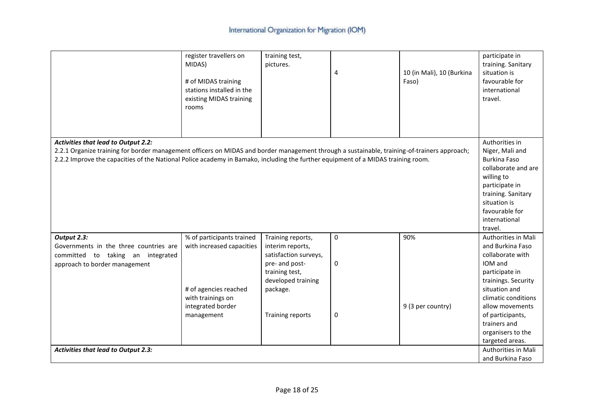|                                                                                                                                                                                                                                                                                 | register travellers on<br>MIDAS)<br># of MIDAS training<br>stations installed in the<br>existing MIDAS training<br>rooms | training test,<br>pictures.                                                                        | 4      | 10 (in Mali), 10 (Burkina<br>Faso) | participate in<br>training. Sanitary<br>situation is<br>favourable for<br>international<br>travel.                                                                                |
|---------------------------------------------------------------------------------------------------------------------------------------------------------------------------------------------------------------------------------------------------------------------------------|--------------------------------------------------------------------------------------------------------------------------|----------------------------------------------------------------------------------------------------|--------|------------------------------------|-----------------------------------------------------------------------------------------------------------------------------------------------------------------------------------|
| <b>Activities that lead to Output 2.2:</b>                                                                                                                                                                                                                                      |                                                                                                                          |                                                                                                    |        |                                    | Authorities in                                                                                                                                                                    |
| 2.2.1 Organize training for border management officers on MIDAS and border management through a sustainable, training-of-trainers approach;<br>2.2.2 Improve the capacities of the National Police academy in Bamako, including the further equipment of a MIDAS training room. |                                                                                                                          |                                                                                                    |        |                                    | Niger, Mali and<br><b>Burkina Faso</b><br>collaborate and are<br>willing to<br>participate in<br>training. Sanitary<br>situation is<br>favourable for<br>international<br>travel. |
| Output 2.3:<br>Governments in the three countries are<br>committed to taking an integrated<br>approach to border management                                                                                                                                                     | % of participants trained<br>with increased capacities                                                                   | Training reports,<br>interim reports,<br>satisfaction surveys,<br>pre- and post-<br>training test, | 0<br>0 | 90%                                | Authorities in Mali<br>and Burkina Faso<br>collaborate with<br>IOM and<br>participate in                                                                                          |
|                                                                                                                                                                                                                                                                                 | # of agencies reached<br>with trainings on<br>integrated border<br>management                                            | developed training<br>package.<br><b>Training reports</b>                                          | 0      | 9 (3 per country)                  | trainings. Security<br>situation and<br>climatic conditions<br>allow movements<br>of participants,<br>trainers and<br>organisers to the<br>targeted areas.                        |
| <b>Activities that lead to Output 2.3:</b>                                                                                                                                                                                                                                      |                                                                                                                          |                                                                                                    |        |                                    | Authorities in Mali<br>and Burkina Faso                                                                                                                                           |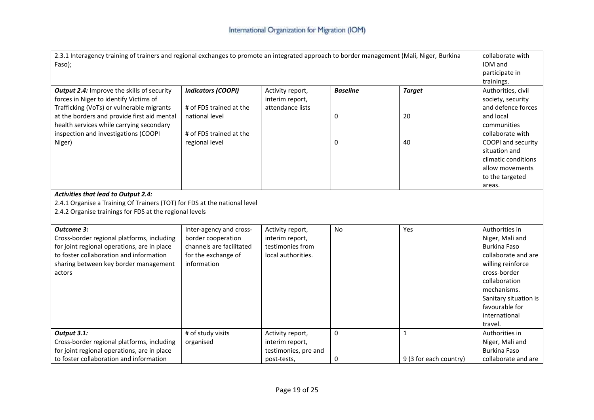| 2.3.1 Interagency training of trainers and regional exchanges to promote an integrated approach to border management (Mali, Niger, Burkina |                           |                      |                 |                        | collaborate with      |
|--------------------------------------------------------------------------------------------------------------------------------------------|---------------------------|----------------------|-----------------|------------------------|-----------------------|
| Faso);                                                                                                                                     |                           |                      |                 |                        | IOM and               |
|                                                                                                                                            |                           |                      |                 |                        | participate in        |
|                                                                                                                                            |                           |                      |                 |                        | trainings.            |
| <b>Output 2.4: Improve the skills of security</b>                                                                                          | <b>Indicators (COOPI)</b> | Activity report,     | <b>Baseline</b> | <b>Target</b>          | Authorities, civil    |
| forces in Niger to identify Victims of                                                                                                     |                           | interim report,      |                 |                        | society, security     |
| Trafficking (VoTs) or vulnerable migrants                                                                                                  | # of FDS trained at the   | attendance lists     |                 |                        | and defence forces    |
| at the borders and provide first aid mental                                                                                                | national level            |                      | 0               | 20                     | and local             |
| health services while carrying secondary                                                                                                   |                           |                      |                 |                        | communities           |
| inspection and investigations (COOPI                                                                                                       | # of FDS trained at the   |                      |                 |                        | collaborate with      |
| Niger)                                                                                                                                     | regional level            |                      | 0               | 40                     | COOPI and security    |
|                                                                                                                                            |                           |                      |                 |                        | situation and         |
|                                                                                                                                            |                           |                      |                 |                        | climatic conditions   |
|                                                                                                                                            |                           |                      |                 |                        | allow movements       |
|                                                                                                                                            |                           |                      |                 |                        | to the targeted       |
|                                                                                                                                            |                           |                      |                 |                        | areas.                |
| <b>Activities that lead to Output 2.4:</b>                                                                                                 |                           |                      |                 |                        |                       |
| 2.4.1 Organise a Training Of Trainers (TOT) for FDS at the national level                                                                  |                           |                      |                 |                        |                       |
| 2.4.2 Organise trainings for FDS at the regional levels                                                                                    |                           |                      |                 |                        |                       |
|                                                                                                                                            |                           |                      |                 |                        |                       |
| Outcome 3:                                                                                                                                 | Inter-agency and cross-   | Activity report,     | <b>No</b>       | Yes                    | Authorities in        |
| Cross-border regional platforms, including                                                                                                 | border cooperation        | interim report,      |                 |                        | Niger, Mali and       |
| for joint regional operations, are in place                                                                                                | channels are facilitated  | testimonies from     |                 |                        | <b>Burkina Faso</b>   |
| to foster collaboration and information                                                                                                    | for the exchange of       | local authorities.   |                 |                        | collaborate and are   |
| sharing between key border management                                                                                                      | information               |                      |                 |                        | willing reinforce     |
| actors                                                                                                                                     |                           |                      |                 |                        | cross-border          |
|                                                                                                                                            |                           |                      |                 |                        | collaboration         |
|                                                                                                                                            |                           |                      |                 |                        | mechanisms.           |
|                                                                                                                                            |                           |                      |                 |                        | Sanitary situation is |
|                                                                                                                                            |                           |                      |                 |                        | favourable for        |
|                                                                                                                                            |                           |                      |                 |                        | international         |
|                                                                                                                                            |                           |                      |                 |                        | travel.               |
| Output 3.1:                                                                                                                                | # of study visits         | Activity report,     | 0               | $\mathbf{1}$           | Authorities in        |
| Cross-border regional platforms, including                                                                                                 | organised                 | interim report,      |                 |                        | Niger, Mali and       |
| for joint regional operations, are in place                                                                                                |                           | testimonies, pre and |                 |                        | <b>Burkina Faso</b>   |
| to foster collaboration and information                                                                                                    |                           | post-tests,          | 0               | 9 (3 for each country) | collaborate and are   |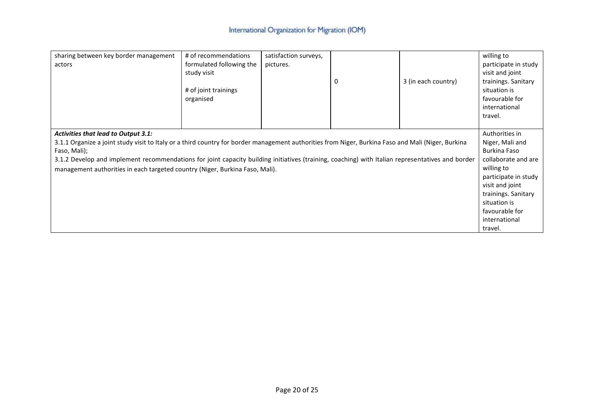| sharing between key border management<br>actors                                                                                                    | # of recommendations<br>formulated following the<br>study visit<br># of joint trainings<br>organised | satisfaction surveys,<br>pictures. | 0 | 3 (in each country) | willing to<br>participate in study<br>visit and joint<br>trainings. Sanitary<br>situation is<br>favourable for<br>international<br>travel. |  |  |
|----------------------------------------------------------------------------------------------------------------------------------------------------|------------------------------------------------------------------------------------------------------|------------------------------------|---|---------------------|--------------------------------------------------------------------------------------------------------------------------------------------|--|--|
| <b>Activities that lead to Output 3.1:</b>                                                                                                         |                                                                                                      |                                    |   |                     |                                                                                                                                            |  |  |
| 3.1.1 Organize a joint study visit to Italy or a third country for border management authorities from Niger, Burkina Faso and Mali (Niger, Burkina |                                                                                                      |                                    |   |                     | Niger, Mali and                                                                                                                            |  |  |
| Faso, Mali);                                                                                                                                       |                                                                                                      |                                    |   |                     | Burkina Faso                                                                                                                               |  |  |
| 3.1.2 Develop and implement recommendations for joint capacity building initiatives (training, coaching) with Italian representatives and border   |                                                                                                      |                                    |   |                     | collaborate and are                                                                                                                        |  |  |
| management authorities in each targeted country (Niger, Burkina Faso, Mali).                                                                       |                                                                                                      |                                    |   |                     | willing to<br>participate in study                                                                                                         |  |  |
|                                                                                                                                                    |                                                                                                      |                                    |   |                     | visit and joint                                                                                                                            |  |  |
|                                                                                                                                                    |                                                                                                      |                                    |   |                     | trainings. Sanitary                                                                                                                        |  |  |
|                                                                                                                                                    |                                                                                                      |                                    |   |                     | situation is                                                                                                                               |  |  |
|                                                                                                                                                    |                                                                                                      |                                    |   |                     | favourable for                                                                                                                             |  |  |
|                                                                                                                                                    |                                                                                                      |                                    |   |                     | international                                                                                                                              |  |  |
|                                                                                                                                                    |                                                                                                      |                                    |   |                     | travel.                                                                                                                                    |  |  |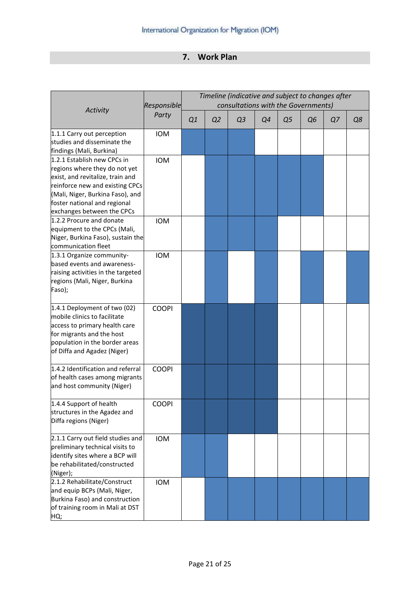### **7. Work Plan**

|                                                                                                                                                                                                                                       | Timeline (indicative and subject to changes after<br>consultations with the Governments)<br>Responsible |    |    |    |    |    |                |    |    |
|---------------------------------------------------------------------------------------------------------------------------------------------------------------------------------------------------------------------------------------|---------------------------------------------------------------------------------------------------------|----|----|----|----|----|----------------|----|----|
| Activity                                                                                                                                                                                                                              | Party                                                                                                   | Q1 | Q2 | Q3 | Q4 | Q5 | Q <sub>6</sub> | Q7 | Q8 |
| 1.1.1 Carry out perception<br>studies and disseminate the<br>findings (Mali, Burkina)                                                                                                                                                 | <b>IOM</b>                                                                                              |    |    |    |    |    |                |    |    |
| 1.2.1 Establish new CPCs in<br>regions where they do not yet<br>exist, and revitalize, train and<br>reinforce new and existing CPCs<br>(Mali, Niger, Burkina Faso), and<br>foster national and regional<br>exchanges between the CPCs | <b>IOM</b>                                                                                              |    |    |    |    |    |                |    |    |
| 1.2.2 Procure and donate<br>equipment to the CPCs (Mali,<br>Niger, Burkina Faso), sustain the<br>communication fleet                                                                                                                  | <b>IOM</b>                                                                                              |    |    |    |    |    |                |    |    |
| 1.3.1 Organize community-<br>based events and awareness-<br>raising activities in the targeted<br>regions (Mali, Niger, Burkina<br>Faso);                                                                                             | <b>IOM</b>                                                                                              |    |    |    |    |    |                |    |    |
| 1.4.1 Deployment of two (02)<br>mobile clinics to facilitate<br>access to primary health care<br>for migrants and the host<br>population in the border areas<br>of Diffa and Agadez (Niger)                                           | <b>COOPI</b>                                                                                            |    |    |    |    |    |                |    |    |
| 1.4.2 Identification and referral<br>of health cases among migrants<br>and host community (Niger)                                                                                                                                     | <b>COOPI</b>                                                                                            |    |    |    |    |    |                |    |    |
| 1.4.4 Support of health<br>structures in the Agadez and<br>Diffa regions (Niger)                                                                                                                                                      | <b>COOPI</b>                                                                                            |    |    |    |    |    |                |    |    |
| 2.1.1 Carry out field studies and<br>preliminary technical visits to<br>identify sites where a BCP will<br>be rehabilitated/constructed<br>(Niger);                                                                                   | <b>IOM</b>                                                                                              |    |    |    |    |    |                |    |    |
| 2.1.2 Rehabilitate/Construct<br>and equip BCPs (Mali, Niger,<br>Burkina Faso) and construction<br>of training room in Mali at DST<br>HQ;                                                                                              | <b>IOM</b>                                                                                              |    |    |    |    |    |                |    |    |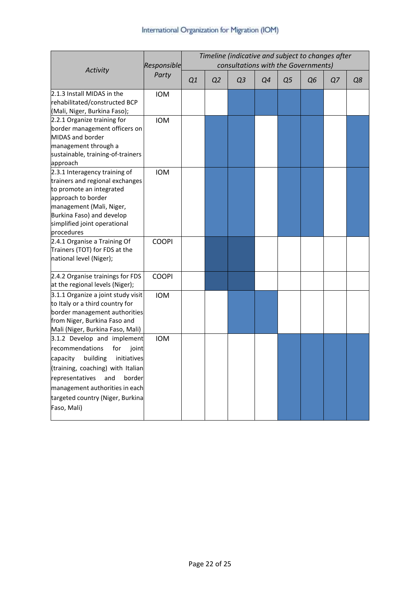# International Organization for Migration (IOM)

| Activity                                                                                                                                                                                                                                                            | Responsible  | Timeline (indicative and subject to changes after<br>consultations with the Governments) |    |                |    |                |                |    |    |
|---------------------------------------------------------------------------------------------------------------------------------------------------------------------------------------------------------------------------------------------------------------------|--------------|------------------------------------------------------------------------------------------|----|----------------|----|----------------|----------------|----|----|
|                                                                                                                                                                                                                                                                     | Party        | Q1                                                                                       | Q2 | Q <sub>3</sub> | Q4 | Q <sub>5</sub> | Q <sub>6</sub> | Q7 | Q8 |
| 2.1.3 Install MIDAS in the<br>rehabilitated/constructed BCP<br>(Mali, Niger, Burkina Faso);                                                                                                                                                                         | <b>IOM</b>   |                                                                                          |    |                |    |                |                |    |    |
| 2.2.1 Organize training for<br>border management officers on<br>MIDAS and border<br>management through a<br>sustainable, training-of-trainers<br>approach                                                                                                           | <b>IOM</b>   |                                                                                          |    |                |    |                |                |    |    |
| 2.3.1 Interagency training of<br>trainers and regional exchanges<br>to promote an integrated<br>approach to border<br>management (Mali, Niger,<br>Burkina Faso) and develop<br>simplified joint operational<br>procedures                                           | <b>IOM</b>   |                                                                                          |    |                |    |                |                |    |    |
| 2.4.1 Organise a Training Of<br>Trainers (TOT) for FDS at the<br>national level (Niger);                                                                                                                                                                            | <b>COOPI</b> |                                                                                          |    |                |    |                |                |    |    |
| 2.4.2 Organise trainings for FDS<br>at the regional levels (Niger);                                                                                                                                                                                                 | <b>COOPI</b> |                                                                                          |    |                |    |                |                |    |    |
| 3.1.1 Organize a joint study visit<br>to Italy or a third country for<br>border management authorities<br>from Niger, Burkina Faso and<br>Mali (Niger, Burkina Faso, Mali)                                                                                          | <b>IOM</b>   |                                                                                          |    |                |    |                |                |    |    |
| 3.1.2 Develop and implement<br>recommendations<br>for<br>joint<br>initiatives<br>building<br>capacity<br>(training, coaching) with Italian<br>representatives<br>border<br>and<br>management authorities in each<br>targeted country (Niger, Burkina<br>Faso, Mali) | <b>IOM</b>   |                                                                                          |    |                |    |                |                |    |    |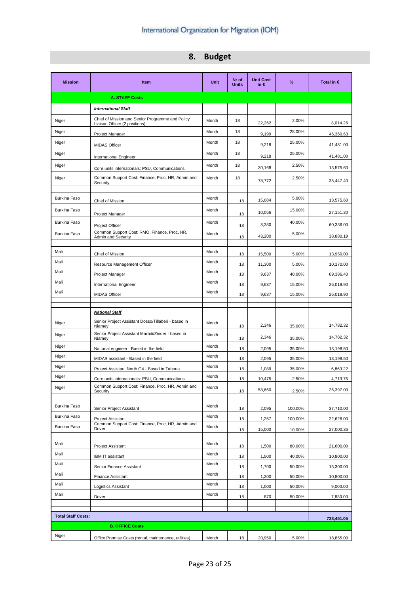# **8. Budget**

| <b>A. STAFF Costs</b><br><b>International Staff</b><br>Chief of Mission and Senior Programme and Policy<br>Niger<br>Month<br>18<br>2.00%<br>22,262<br>8,014.26<br>Liaison Officer (2 positions)<br>Niger<br>Month<br>18<br>28.00%<br>Project Manager<br>9,199<br>46,360.63<br>Niger<br>Month<br>18<br>25.00%<br>9,218<br>41,481.00<br><b>MIDAS Officer</b><br>Niger<br>Month<br>18<br>25.00%<br>9,218<br>41,481.00<br><b>International Engineer</b><br>Niger<br>Month<br>18<br>2.50%<br>30,168<br>13,575.60<br>Core units internationals: PSU, Communications<br>Common Support Cost: Finance, Proc, HR, Admin and<br>Niger<br>Month<br>18<br>2.50%<br>78,772<br>35,447.40<br>Security<br>Burkina Faso<br>Month<br>5.00%<br>15,084<br>18<br>13,575.60<br>Chief of Mission<br>Burkina Faso<br>Month<br>15.00%<br>10,056<br>27,151.20<br>18<br>Project Manager<br><b>Burkina Faso</b><br>Month<br>40.00%<br>8,380<br>60,336.00<br>18<br>Project Officer<br>Common Support Cost: RMO, Finance, Proc, HR,<br>Month<br>5.00%<br>Burkina Faso<br>43,200<br>38,880.19<br>Admin and Security<br>18<br>Mali<br>Month<br>Chief of Mission<br>18<br>5.00%<br>15,500<br>13,950.00<br>Mali<br>Month<br>18<br>Resource Management Officer<br>11,300<br>5.00%<br>10,170.00<br>Mali<br>Month<br><b>Project Manager</b><br>18<br>9,637<br>40.00%<br>69,386.40<br>Mali<br>Month<br>18<br><b>International Engineer</b><br>9,637<br>15.00%<br>26,019.90<br>Mali<br>Month<br><b>MIDAS Officer</b><br>18<br>9,637<br>15.00%<br>26,019.90<br><b>National Staff</b><br>Senior Project Assistant Dosso/Tillabéri - based in<br>Niger<br>Month<br>2,346<br>14,782.32<br>18<br>35.00%<br>Niamey<br>Senior Project Assistant Maradi/Zinder - based in<br>Niger<br>Month<br>2,346<br>14,782.32<br>18<br>35.00%<br>Niamey<br>Month<br>Niger<br>National engineer - Based in the field<br>18<br>2,095<br>35.00%<br>13,198.50<br>Niger<br>Month<br>18<br>2,095<br>MIDAS assistant - Based in the field<br>35.00%<br>13,198.50<br>Niger<br>Month<br>Project Assistant North G4 - Based in Tahoua<br>18<br>1,089<br>35.00%<br>6,863.22<br>Niger<br>Month<br>18<br>Core units internationals: PSU, Communications<br>10,475<br>2.50%<br>4,713.75<br>Common Support Cost: Finance, Proc, HR, Admin and<br>Niger<br>Month<br>58,660<br>26,397.00<br>Security<br>18<br>2.50%<br>Month<br>Burkina Faso<br>18<br>Senior Project Assistant<br>2,095<br>100.00%<br>37,710.00<br><b>Burkina Faso</b><br>Month<br><b>Project Assistant</b><br>18<br>1,257<br>100.00%<br>22,626.00<br>Common Support Cost: Finance, Proc, HR, Admin and<br><b>Burkina Faso</b><br>Month<br>Driver<br>15,000<br>27,000.36<br>18<br>10.00%<br>Month<br>Mali<br>18<br><b>Project Assistant</b><br>1,500<br>80.00%<br>21,600.00<br>Mali<br>Month<br>1,500<br>40.00%<br>IBM IT assistant<br>18<br>10,800.00<br>Month<br>Mali<br>Senior Finance Assistant<br>18<br>1,700<br>50.00%<br>15,300.00<br>Mali<br>Month<br>18<br><b>Finance Assistant</b><br>1,200<br>50.00%<br>10,800.00<br>Mali<br>Month<br>1,000<br><b>Logistics Assistant</b><br>18<br>50.00%<br>9,000.00<br>Mali<br>Month<br>Driver<br>18<br>870<br>50.00%<br>7,830.00<br><b>Total Staff Costs:</b><br>728,451.05<br><b>B. OFFICE Costs</b> | <b>Mission</b> | Item | Unit | Nr of<br><b>Units</b> | <b>Unit Cost</b><br>in€ | % | Total in $\epsilon$ |
|-----------------------------------------------------------------------------------------------------------------------------------------------------------------------------------------------------------------------------------------------------------------------------------------------------------------------------------------------------------------------------------------------------------------------------------------------------------------------------------------------------------------------------------------------------------------------------------------------------------------------------------------------------------------------------------------------------------------------------------------------------------------------------------------------------------------------------------------------------------------------------------------------------------------------------------------------------------------------------------------------------------------------------------------------------------------------------------------------------------------------------------------------------------------------------------------------------------------------------------------------------------------------------------------------------------------------------------------------------------------------------------------------------------------------------------------------------------------------------------------------------------------------------------------------------------------------------------------------------------------------------------------------------------------------------------------------------------------------------------------------------------------------------------------------------------------------------------------------------------------------------------------------------------------------------------------------------------------------------------------------------------------------------------------------------------------------------------------------------------------------------------------------------------------------------------------------------------------------------------------------------------------------------------------------------------------------------------------------------------------------------------------------------------------------------------------------------------------------------------------------------------------------------------------------------------------------------------------------------------------------------------------------------------------------------------------------------------------------------------------------------------------------------------------------------------------------------------------------------------------------------------------------------------------------------------------------------------------------------------------------------------------------------------------------------------------------------------------------------------------------------------------------------------------------------------------------------------------------------------------|----------------|------|------|-----------------------|-------------------------|---|---------------------|
|                                                                                                                                                                                                                                                                                                                                                                                                                                                                                                                                                                                                                                                                                                                                                                                                                                                                                                                                                                                                                                                                                                                                                                                                                                                                                                                                                                                                                                                                                                                                                                                                                                                                                                                                                                                                                                                                                                                                                                                                                                                                                                                                                                                                                                                                                                                                                                                                                                                                                                                                                                                                                                                                                                                                                                                                                                                                                                                                                                                                                                                                                                                                                                                                                                         |                |      |      |                       |                         |   |                     |
|                                                                                                                                                                                                                                                                                                                                                                                                                                                                                                                                                                                                                                                                                                                                                                                                                                                                                                                                                                                                                                                                                                                                                                                                                                                                                                                                                                                                                                                                                                                                                                                                                                                                                                                                                                                                                                                                                                                                                                                                                                                                                                                                                                                                                                                                                                                                                                                                                                                                                                                                                                                                                                                                                                                                                                                                                                                                                                                                                                                                                                                                                                                                                                                                                                         |                |      |      |                       |                         |   |                     |
|                                                                                                                                                                                                                                                                                                                                                                                                                                                                                                                                                                                                                                                                                                                                                                                                                                                                                                                                                                                                                                                                                                                                                                                                                                                                                                                                                                                                                                                                                                                                                                                                                                                                                                                                                                                                                                                                                                                                                                                                                                                                                                                                                                                                                                                                                                                                                                                                                                                                                                                                                                                                                                                                                                                                                                                                                                                                                                                                                                                                                                                                                                                                                                                                                                         |                |      |      |                       |                         |   |                     |
|                                                                                                                                                                                                                                                                                                                                                                                                                                                                                                                                                                                                                                                                                                                                                                                                                                                                                                                                                                                                                                                                                                                                                                                                                                                                                                                                                                                                                                                                                                                                                                                                                                                                                                                                                                                                                                                                                                                                                                                                                                                                                                                                                                                                                                                                                                                                                                                                                                                                                                                                                                                                                                                                                                                                                                                                                                                                                                                                                                                                                                                                                                                                                                                                                                         |                |      |      |                       |                         |   |                     |
|                                                                                                                                                                                                                                                                                                                                                                                                                                                                                                                                                                                                                                                                                                                                                                                                                                                                                                                                                                                                                                                                                                                                                                                                                                                                                                                                                                                                                                                                                                                                                                                                                                                                                                                                                                                                                                                                                                                                                                                                                                                                                                                                                                                                                                                                                                                                                                                                                                                                                                                                                                                                                                                                                                                                                                                                                                                                                                                                                                                                                                                                                                                                                                                                                                         |                |      |      |                       |                         |   |                     |
|                                                                                                                                                                                                                                                                                                                                                                                                                                                                                                                                                                                                                                                                                                                                                                                                                                                                                                                                                                                                                                                                                                                                                                                                                                                                                                                                                                                                                                                                                                                                                                                                                                                                                                                                                                                                                                                                                                                                                                                                                                                                                                                                                                                                                                                                                                                                                                                                                                                                                                                                                                                                                                                                                                                                                                                                                                                                                                                                                                                                                                                                                                                                                                                                                                         |                |      |      |                       |                         |   |                     |
|                                                                                                                                                                                                                                                                                                                                                                                                                                                                                                                                                                                                                                                                                                                                                                                                                                                                                                                                                                                                                                                                                                                                                                                                                                                                                                                                                                                                                                                                                                                                                                                                                                                                                                                                                                                                                                                                                                                                                                                                                                                                                                                                                                                                                                                                                                                                                                                                                                                                                                                                                                                                                                                                                                                                                                                                                                                                                                                                                                                                                                                                                                                                                                                                                                         |                |      |      |                       |                         |   |                     |
|                                                                                                                                                                                                                                                                                                                                                                                                                                                                                                                                                                                                                                                                                                                                                                                                                                                                                                                                                                                                                                                                                                                                                                                                                                                                                                                                                                                                                                                                                                                                                                                                                                                                                                                                                                                                                                                                                                                                                                                                                                                                                                                                                                                                                                                                                                                                                                                                                                                                                                                                                                                                                                                                                                                                                                                                                                                                                                                                                                                                                                                                                                                                                                                                                                         |                |      |      |                       |                         |   |                     |
|                                                                                                                                                                                                                                                                                                                                                                                                                                                                                                                                                                                                                                                                                                                                                                                                                                                                                                                                                                                                                                                                                                                                                                                                                                                                                                                                                                                                                                                                                                                                                                                                                                                                                                                                                                                                                                                                                                                                                                                                                                                                                                                                                                                                                                                                                                                                                                                                                                                                                                                                                                                                                                                                                                                                                                                                                                                                                                                                                                                                                                                                                                                                                                                                                                         |                |      |      |                       |                         |   |                     |
|                                                                                                                                                                                                                                                                                                                                                                                                                                                                                                                                                                                                                                                                                                                                                                                                                                                                                                                                                                                                                                                                                                                                                                                                                                                                                                                                                                                                                                                                                                                                                                                                                                                                                                                                                                                                                                                                                                                                                                                                                                                                                                                                                                                                                                                                                                                                                                                                                                                                                                                                                                                                                                                                                                                                                                                                                                                                                                                                                                                                                                                                                                                                                                                                                                         |                |      |      |                       |                         |   |                     |
|                                                                                                                                                                                                                                                                                                                                                                                                                                                                                                                                                                                                                                                                                                                                                                                                                                                                                                                                                                                                                                                                                                                                                                                                                                                                                                                                                                                                                                                                                                                                                                                                                                                                                                                                                                                                                                                                                                                                                                                                                                                                                                                                                                                                                                                                                                                                                                                                                                                                                                                                                                                                                                                                                                                                                                                                                                                                                                                                                                                                                                                                                                                                                                                                                                         |                |      |      |                       |                         |   |                     |
|                                                                                                                                                                                                                                                                                                                                                                                                                                                                                                                                                                                                                                                                                                                                                                                                                                                                                                                                                                                                                                                                                                                                                                                                                                                                                                                                                                                                                                                                                                                                                                                                                                                                                                                                                                                                                                                                                                                                                                                                                                                                                                                                                                                                                                                                                                                                                                                                                                                                                                                                                                                                                                                                                                                                                                                                                                                                                                                                                                                                                                                                                                                                                                                                                                         |                |      |      |                       |                         |   |                     |
|                                                                                                                                                                                                                                                                                                                                                                                                                                                                                                                                                                                                                                                                                                                                                                                                                                                                                                                                                                                                                                                                                                                                                                                                                                                                                                                                                                                                                                                                                                                                                                                                                                                                                                                                                                                                                                                                                                                                                                                                                                                                                                                                                                                                                                                                                                                                                                                                                                                                                                                                                                                                                                                                                                                                                                                                                                                                                                                                                                                                                                                                                                                                                                                                                                         |                |      |      |                       |                         |   |                     |
|                                                                                                                                                                                                                                                                                                                                                                                                                                                                                                                                                                                                                                                                                                                                                                                                                                                                                                                                                                                                                                                                                                                                                                                                                                                                                                                                                                                                                                                                                                                                                                                                                                                                                                                                                                                                                                                                                                                                                                                                                                                                                                                                                                                                                                                                                                                                                                                                                                                                                                                                                                                                                                                                                                                                                                                                                                                                                                                                                                                                                                                                                                                                                                                                                                         |                |      |      |                       |                         |   |                     |
|                                                                                                                                                                                                                                                                                                                                                                                                                                                                                                                                                                                                                                                                                                                                                                                                                                                                                                                                                                                                                                                                                                                                                                                                                                                                                                                                                                                                                                                                                                                                                                                                                                                                                                                                                                                                                                                                                                                                                                                                                                                                                                                                                                                                                                                                                                                                                                                                                                                                                                                                                                                                                                                                                                                                                                                                                                                                                                                                                                                                                                                                                                                                                                                                                                         |                |      |      |                       |                         |   |                     |
|                                                                                                                                                                                                                                                                                                                                                                                                                                                                                                                                                                                                                                                                                                                                                                                                                                                                                                                                                                                                                                                                                                                                                                                                                                                                                                                                                                                                                                                                                                                                                                                                                                                                                                                                                                                                                                                                                                                                                                                                                                                                                                                                                                                                                                                                                                                                                                                                                                                                                                                                                                                                                                                                                                                                                                                                                                                                                                                                                                                                                                                                                                                                                                                                                                         |                |      |      |                       |                         |   |                     |
|                                                                                                                                                                                                                                                                                                                                                                                                                                                                                                                                                                                                                                                                                                                                                                                                                                                                                                                                                                                                                                                                                                                                                                                                                                                                                                                                                                                                                                                                                                                                                                                                                                                                                                                                                                                                                                                                                                                                                                                                                                                                                                                                                                                                                                                                                                                                                                                                                                                                                                                                                                                                                                                                                                                                                                                                                                                                                                                                                                                                                                                                                                                                                                                                                                         |                |      |      |                       |                         |   |                     |
|                                                                                                                                                                                                                                                                                                                                                                                                                                                                                                                                                                                                                                                                                                                                                                                                                                                                                                                                                                                                                                                                                                                                                                                                                                                                                                                                                                                                                                                                                                                                                                                                                                                                                                                                                                                                                                                                                                                                                                                                                                                                                                                                                                                                                                                                                                                                                                                                                                                                                                                                                                                                                                                                                                                                                                                                                                                                                                                                                                                                                                                                                                                                                                                                                                         |                |      |      |                       |                         |   |                     |
|                                                                                                                                                                                                                                                                                                                                                                                                                                                                                                                                                                                                                                                                                                                                                                                                                                                                                                                                                                                                                                                                                                                                                                                                                                                                                                                                                                                                                                                                                                                                                                                                                                                                                                                                                                                                                                                                                                                                                                                                                                                                                                                                                                                                                                                                                                                                                                                                                                                                                                                                                                                                                                                                                                                                                                                                                                                                                                                                                                                                                                                                                                                                                                                                                                         |                |      |      |                       |                         |   |                     |
|                                                                                                                                                                                                                                                                                                                                                                                                                                                                                                                                                                                                                                                                                                                                                                                                                                                                                                                                                                                                                                                                                                                                                                                                                                                                                                                                                                                                                                                                                                                                                                                                                                                                                                                                                                                                                                                                                                                                                                                                                                                                                                                                                                                                                                                                                                                                                                                                                                                                                                                                                                                                                                                                                                                                                                                                                                                                                                                                                                                                                                                                                                                                                                                                                                         |                |      |      |                       |                         |   |                     |
|                                                                                                                                                                                                                                                                                                                                                                                                                                                                                                                                                                                                                                                                                                                                                                                                                                                                                                                                                                                                                                                                                                                                                                                                                                                                                                                                                                                                                                                                                                                                                                                                                                                                                                                                                                                                                                                                                                                                                                                                                                                                                                                                                                                                                                                                                                                                                                                                                                                                                                                                                                                                                                                                                                                                                                                                                                                                                                                                                                                                                                                                                                                                                                                                                                         |                |      |      |                       |                         |   |                     |
|                                                                                                                                                                                                                                                                                                                                                                                                                                                                                                                                                                                                                                                                                                                                                                                                                                                                                                                                                                                                                                                                                                                                                                                                                                                                                                                                                                                                                                                                                                                                                                                                                                                                                                                                                                                                                                                                                                                                                                                                                                                                                                                                                                                                                                                                                                                                                                                                                                                                                                                                                                                                                                                                                                                                                                                                                                                                                                                                                                                                                                                                                                                                                                                                                                         |                |      |      |                       |                         |   |                     |
|                                                                                                                                                                                                                                                                                                                                                                                                                                                                                                                                                                                                                                                                                                                                                                                                                                                                                                                                                                                                                                                                                                                                                                                                                                                                                                                                                                                                                                                                                                                                                                                                                                                                                                                                                                                                                                                                                                                                                                                                                                                                                                                                                                                                                                                                                                                                                                                                                                                                                                                                                                                                                                                                                                                                                                                                                                                                                                                                                                                                                                                                                                                                                                                                                                         |                |      |      |                       |                         |   |                     |
|                                                                                                                                                                                                                                                                                                                                                                                                                                                                                                                                                                                                                                                                                                                                                                                                                                                                                                                                                                                                                                                                                                                                                                                                                                                                                                                                                                                                                                                                                                                                                                                                                                                                                                                                                                                                                                                                                                                                                                                                                                                                                                                                                                                                                                                                                                                                                                                                                                                                                                                                                                                                                                                                                                                                                                                                                                                                                                                                                                                                                                                                                                                                                                                                                                         |                |      |      |                       |                         |   |                     |
|                                                                                                                                                                                                                                                                                                                                                                                                                                                                                                                                                                                                                                                                                                                                                                                                                                                                                                                                                                                                                                                                                                                                                                                                                                                                                                                                                                                                                                                                                                                                                                                                                                                                                                                                                                                                                                                                                                                                                                                                                                                                                                                                                                                                                                                                                                                                                                                                                                                                                                                                                                                                                                                                                                                                                                                                                                                                                                                                                                                                                                                                                                                                                                                                                                         |                |      |      |                       |                         |   |                     |
|                                                                                                                                                                                                                                                                                                                                                                                                                                                                                                                                                                                                                                                                                                                                                                                                                                                                                                                                                                                                                                                                                                                                                                                                                                                                                                                                                                                                                                                                                                                                                                                                                                                                                                                                                                                                                                                                                                                                                                                                                                                                                                                                                                                                                                                                                                                                                                                                                                                                                                                                                                                                                                                                                                                                                                                                                                                                                                                                                                                                                                                                                                                                                                                                                                         |                |      |      |                       |                         |   |                     |
|                                                                                                                                                                                                                                                                                                                                                                                                                                                                                                                                                                                                                                                                                                                                                                                                                                                                                                                                                                                                                                                                                                                                                                                                                                                                                                                                                                                                                                                                                                                                                                                                                                                                                                                                                                                                                                                                                                                                                                                                                                                                                                                                                                                                                                                                                                                                                                                                                                                                                                                                                                                                                                                                                                                                                                                                                                                                                                                                                                                                                                                                                                                                                                                                                                         |                |      |      |                       |                         |   |                     |
|                                                                                                                                                                                                                                                                                                                                                                                                                                                                                                                                                                                                                                                                                                                                                                                                                                                                                                                                                                                                                                                                                                                                                                                                                                                                                                                                                                                                                                                                                                                                                                                                                                                                                                                                                                                                                                                                                                                                                                                                                                                                                                                                                                                                                                                                                                                                                                                                                                                                                                                                                                                                                                                                                                                                                                                                                                                                                                                                                                                                                                                                                                                                                                                                                                         |                |      |      |                       |                         |   |                     |
|                                                                                                                                                                                                                                                                                                                                                                                                                                                                                                                                                                                                                                                                                                                                                                                                                                                                                                                                                                                                                                                                                                                                                                                                                                                                                                                                                                                                                                                                                                                                                                                                                                                                                                                                                                                                                                                                                                                                                                                                                                                                                                                                                                                                                                                                                                                                                                                                                                                                                                                                                                                                                                                                                                                                                                                                                                                                                                                                                                                                                                                                                                                                                                                                                                         |                |      |      |                       |                         |   |                     |
|                                                                                                                                                                                                                                                                                                                                                                                                                                                                                                                                                                                                                                                                                                                                                                                                                                                                                                                                                                                                                                                                                                                                                                                                                                                                                                                                                                                                                                                                                                                                                                                                                                                                                                                                                                                                                                                                                                                                                                                                                                                                                                                                                                                                                                                                                                                                                                                                                                                                                                                                                                                                                                                                                                                                                                                                                                                                                                                                                                                                                                                                                                                                                                                                                                         |                |      |      |                       |                         |   |                     |
|                                                                                                                                                                                                                                                                                                                                                                                                                                                                                                                                                                                                                                                                                                                                                                                                                                                                                                                                                                                                                                                                                                                                                                                                                                                                                                                                                                                                                                                                                                                                                                                                                                                                                                                                                                                                                                                                                                                                                                                                                                                                                                                                                                                                                                                                                                                                                                                                                                                                                                                                                                                                                                                                                                                                                                                                                                                                                                                                                                                                                                                                                                                                                                                                                                         |                |      |      |                       |                         |   |                     |
|                                                                                                                                                                                                                                                                                                                                                                                                                                                                                                                                                                                                                                                                                                                                                                                                                                                                                                                                                                                                                                                                                                                                                                                                                                                                                                                                                                                                                                                                                                                                                                                                                                                                                                                                                                                                                                                                                                                                                                                                                                                                                                                                                                                                                                                                                                                                                                                                                                                                                                                                                                                                                                                                                                                                                                                                                                                                                                                                                                                                                                                                                                                                                                                                                                         |                |      |      |                       |                         |   |                     |
|                                                                                                                                                                                                                                                                                                                                                                                                                                                                                                                                                                                                                                                                                                                                                                                                                                                                                                                                                                                                                                                                                                                                                                                                                                                                                                                                                                                                                                                                                                                                                                                                                                                                                                                                                                                                                                                                                                                                                                                                                                                                                                                                                                                                                                                                                                                                                                                                                                                                                                                                                                                                                                                                                                                                                                                                                                                                                                                                                                                                                                                                                                                                                                                                                                         |                |      |      |                       |                         |   |                     |
|                                                                                                                                                                                                                                                                                                                                                                                                                                                                                                                                                                                                                                                                                                                                                                                                                                                                                                                                                                                                                                                                                                                                                                                                                                                                                                                                                                                                                                                                                                                                                                                                                                                                                                                                                                                                                                                                                                                                                                                                                                                                                                                                                                                                                                                                                                                                                                                                                                                                                                                                                                                                                                                                                                                                                                                                                                                                                                                                                                                                                                                                                                                                                                                                                                         |                |      |      |                       |                         |   |                     |
|                                                                                                                                                                                                                                                                                                                                                                                                                                                                                                                                                                                                                                                                                                                                                                                                                                                                                                                                                                                                                                                                                                                                                                                                                                                                                                                                                                                                                                                                                                                                                                                                                                                                                                                                                                                                                                                                                                                                                                                                                                                                                                                                                                                                                                                                                                                                                                                                                                                                                                                                                                                                                                                                                                                                                                                                                                                                                                                                                                                                                                                                                                                                                                                                                                         |                |      |      |                       |                         |   |                     |
|                                                                                                                                                                                                                                                                                                                                                                                                                                                                                                                                                                                                                                                                                                                                                                                                                                                                                                                                                                                                                                                                                                                                                                                                                                                                                                                                                                                                                                                                                                                                                                                                                                                                                                                                                                                                                                                                                                                                                                                                                                                                                                                                                                                                                                                                                                                                                                                                                                                                                                                                                                                                                                                                                                                                                                                                                                                                                                                                                                                                                                                                                                                                                                                                                                         |                |      |      |                       |                         |   |                     |
|                                                                                                                                                                                                                                                                                                                                                                                                                                                                                                                                                                                                                                                                                                                                                                                                                                                                                                                                                                                                                                                                                                                                                                                                                                                                                                                                                                                                                                                                                                                                                                                                                                                                                                                                                                                                                                                                                                                                                                                                                                                                                                                                                                                                                                                                                                                                                                                                                                                                                                                                                                                                                                                                                                                                                                                                                                                                                                                                                                                                                                                                                                                                                                                                                                         |                |      |      |                       |                         |   |                     |
|                                                                                                                                                                                                                                                                                                                                                                                                                                                                                                                                                                                                                                                                                                                                                                                                                                                                                                                                                                                                                                                                                                                                                                                                                                                                                                                                                                                                                                                                                                                                                                                                                                                                                                                                                                                                                                                                                                                                                                                                                                                                                                                                                                                                                                                                                                                                                                                                                                                                                                                                                                                                                                                                                                                                                                                                                                                                                                                                                                                                                                                                                                                                                                                                                                         |                |      |      |                       |                         |   |                     |
|                                                                                                                                                                                                                                                                                                                                                                                                                                                                                                                                                                                                                                                                                                                                                                                                                                                                                                                                                                                                                                                                                                                                                                                                                                                                                                                                                                                                                                                                                                                                                                                                                                                                                                                                                                                                                                                                                                                                                                                                                                                                                                                                                                                                                                                                                                                                                                                                                                                                                                                                                                                                                                                                                                                                                                                                                                                                                                                                                                                                                                                                                                                                                                                                                                         |                |      |      |                       |                         |   |                     |
|                                                                                                                                                                                                                                                                                                                                                                                                                                                                                                                                                                                                                                                                                                                                                                                                                                                                                                                                                                                                                                                                                                                                                                                                                                                                                                                                                                                                                                                                                                                                                                                                                                                                                                                                                                                                                                                                                                                                                                                                                                                                                                                                                                                                                                                                                                                                                                                                                                                                                                                                                                                                                                                                                                                                                                                                                                                                                                                                                                                                                                                                                                                                                                                                                                         |                |      |      |                       |                         |   |                     |
| 18<br>20,950<br>5.00%<br>Office Premise Costs (rental, maintenance, utilities)<br>Month<br>18,855.00                                                                                                                                                                                                                                                                                                                                                                                                                                                                                                                                                                                                                                                                                                                                                                                                                                                                                                                                                                                                                                                                                                                                                                                                                                                                                                                                                                                                                                                                                                                                                                                                                                                                                                                                                                                                                                                                                                                                                                                                                                                                                                                                                                                                                                                                                                                                                                                                                                                                                                                                                                                                                                                                                                                                                                                                                                                                                                                                                                                                                                                                                                                                    | Niger          |      |      |                       |                         |   |                     |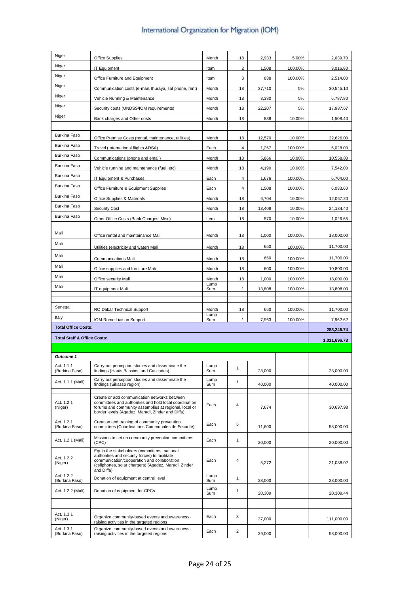## International Organization for Migration (IOM)

| Niger                                  | <b>Office Supplies</b>                                                                                                                                                                                              | Month         | 18                      | 2,933  | 5.00%          | 2,639.70                              |
|----------------------------------------|---------------------------------------------------------------------------------------------------------------------------------------------------------------------------------------------------------------------|---------------|-------------------------|--------|----------------|---------------------------------------|
| Niger                                  | <b>IT Equipment</b>                                                                                                                                                                                                 | Item          | $\overline{2}$          | 1,508  | 100.00%        | 3,016.80                              |
| Niger                                  | Office Furniture and Equipment                                                                                                                                                                                      | Item          | 3                       | 838    | 100.00%        | 2,514.00                              |
| Niger                                  | Communication costs (e-mail, thuraya, sat phone, rent)                                                                                                                                                              | Month         | 18                      | 37.710 | 5%             | 30,545.10                             |
| Niger                                  | Vehicle Running & Maintenance                                                                                                                                                                                       | Month         | 18                      | 8,380  | 5%             | 6,787.80                              |
| Niger                                  | Security costs (UNDSS/IOM requirements)                                                                                                                                                                             | Month         | 18                      | 22,207 | 5%             | 17,987.67                             |
| Niger                                  | Bank charges and Other costs                                                                                                                                                                                        | Month         | 18                      | 838    | 10.00%         | 1,508.40                              |
|                                        |                                                                                                                                                                                                                     |               |                         |        |                |                                       |
| Burkina Faso                           | Office Premise Costs (rental, maintenance, utilities)                                                                                                                                                               | Month         | 18                      | 12,570 | 10.00%         | 22,626.00                             |
| Burkina Faso                           | Travel (International flights &DSA)                                                                                                                                                                                 | Each          | $\overline{\mathbf{4}}$ | 1,257  | 100.00%        | 5,028.00                              |
| Burkina Faso                           | Communications (phone and email)                                                                                                                                                                                    | Month         | 18                      | 5,866  | 10.00%         | 10,558.80                             |
| Burkina Faso                           | Vehicle running and maintenance (fuel, etc)                                                                                                                                                                         | Month         | 18                      | 4,190  | 10.00%         | 7,542.00                              |
| Burkina Faso                           | IT Equipment & Purchases                                                                                                                                                                                            | Each          | 4                       | 1,676  | 100.00%        | 6,704.00                              |
| Burkina Faso                           | Office Furniture & Equipment Supplies                                                                                                                                                                               | Each          | $\overline{4}$          | 1,508  | 100.00%        | 6,033.60                              |
| Burkina Faso                           | Office Supplies & Materials                                                                                                                                                                                         | Month         | 18                      | 6,704  | 10.00%         | 12,067.20                             |
| Burkina Faso                           | <b>Security Cost</b>                                                                                                                                                                                                | Month         | 18                      | 13,408 | 10.00%         | 24,134.40                             |
| Burkina Faso                           | Other Office Costs (Bank Charges, Misc)                                                                                                                                                                             | Item          | 18                      | 570    | 10.00%         | 1,026.65                              |
|                                        |                                                                                                                                                                                                                     |               |                         |        |                |                                       |
| Mali                                   | Office rental and maintainance Mali                                                                                                                                                                                 | Month         | 18                      | 1,000  | 100.00%        | 18,000.00                             |
| Mali                                   | Utilities (electricity and water) Mali                                                                                                                                                                              | Month         | 18                      | 650    | 100.00%        | 11,700.00                             |
| Mali                                   |                                                                                                                                                                                                                     |               |                         | 650    |                | 11,700.00                             |
| Mali                                   | <b>Communications Mali</b>                                                                                                                                                                                          | Month         | 18                      |        | 100.00%        |                                       |
| Mali                                   | Office supplies and furniture Mali                                                                                                                                                                                  | Month         | 18                      | 600    | 100.00%        | 10,800.00                             |
| Mali                                   | Office security Mali                                                                                                                                                                                                | Month<br>Lump | 18                      | 1,000  | 100.00%        | 18,000.00                             |
|                                        | IT equipment Mali                                                                                                                                                                                                   | Sum           | $\mathbf{1}$            | 13,808 | 100.00%        | 13,808.00                             |
| Senegal                                |                                                                                                                                                                                                                     |               |                         |        |                |                                       |
| Italy                                  | RO Dakar Technical Support                                                                                                                                                                                          | Month<br>Lump | 18                      | 650    | 100.00%        | 11,700.00                             |
| <b>Total Office Costs:</b>             | IOM Rome Liaison Support                                                                                                                                                                                            | Sum           | $\mathbf{1}$            | 7,963  | 100.00%        | 7,962.62                              |
| <b>Total Staff &amp; Office Costs:</b> |                                                                                                                                                                                                                     |               |                         |        |                | 283,245.74                            |
|                                        |                                                                                                                                                                                                                     |               |                         |        |                | 1,011,696.78                          |
| Outcome 1                              |                                                                                                                                                                                                                     |               |                         |        |                |                                       |
| Act. 1.1.1<br>(Burkina Faso)           | Carry out perception studies and disseminate the<br>findings (Hauts Bassins, and Cascades)                                                                                                                          | Lump<br>Sum   |                         | 28,000 | $\blacksquare$ | $\overline{\phantom{a}}$<br>28,000.00 |
| Act. 1.1.1 (Mali)                      | Carry out perception studies and disseminate the<br>findings (Sikasso region)                                                                                                                                       | Lump<br>Sum   | $\mathbf{1}$            | 40,000 |                | 40,000.00                             |
| Act. 1.2.1<br>(Niger)                  | Create or add communication networks between                                                                                                                                                                        |               |                         |        |                |                                       |
|                                        | committees and authorities and hold local coordination<br>forums and community assemblies at regional, local or<br>border levels (Agadez, Maradi, Zinder and Diffa)                                                 | Each          | 4                       | 7,674  |                | 30,697.98                             |
| Act. 1.2.1<br>(Burkina Faso)           | Creation and training of community prevention<br>committees (Coordinations Communales de Securite)                                                                                                                  | Each          | 5                       | 11,600 |                | 58,000.00                             |
| Act. 1.2.1 (Mali)                      | Missions to set up community prevention committees<br>(CPC)                                                                                                                                                         | Each          | $\mathbf{1}$            | 20.000 |                | 20,000.00                             |
| Act. 1.2.2<br>(Niger)                  | Equip the stakeholders (committees, national<br>authorities and security forces) to facilitate<br>communication/cooperation and collaboration<br>(cellphones, solar chargers) (Agadez, Maradi, Zinder<br>and Diffa) | Each          | 4                       | 5,272  |                | 21,088.02                             |
| Act. 1.2.2<br>(Burkina Faso)           | Donation of equipment at central level                                                                                                                                                                              | Lump<br>Sum   | $\mathbf{1}$            | 28,000 |                | 28,000.00                             |
| Act. 1.2.2 (Mali)                      | Donation of equipment for CPCs                                                                                                                                                                                      | Lump<br>Sum   | $\mathbf{1}$            | 20,309 |                | 20,309.44                             |
|                                        |                                                                                                                                                                                                                     |               |                         |        |                |                                       |
| Act. 1.3.1<br>(Niger)                  | Organize community-based events and awareness-<br>raising activities in the targeted regions<br>Organize community-based events and awareness-                                                                      | Each          | 3                       | 37,000 |                | 111,000.00                            |